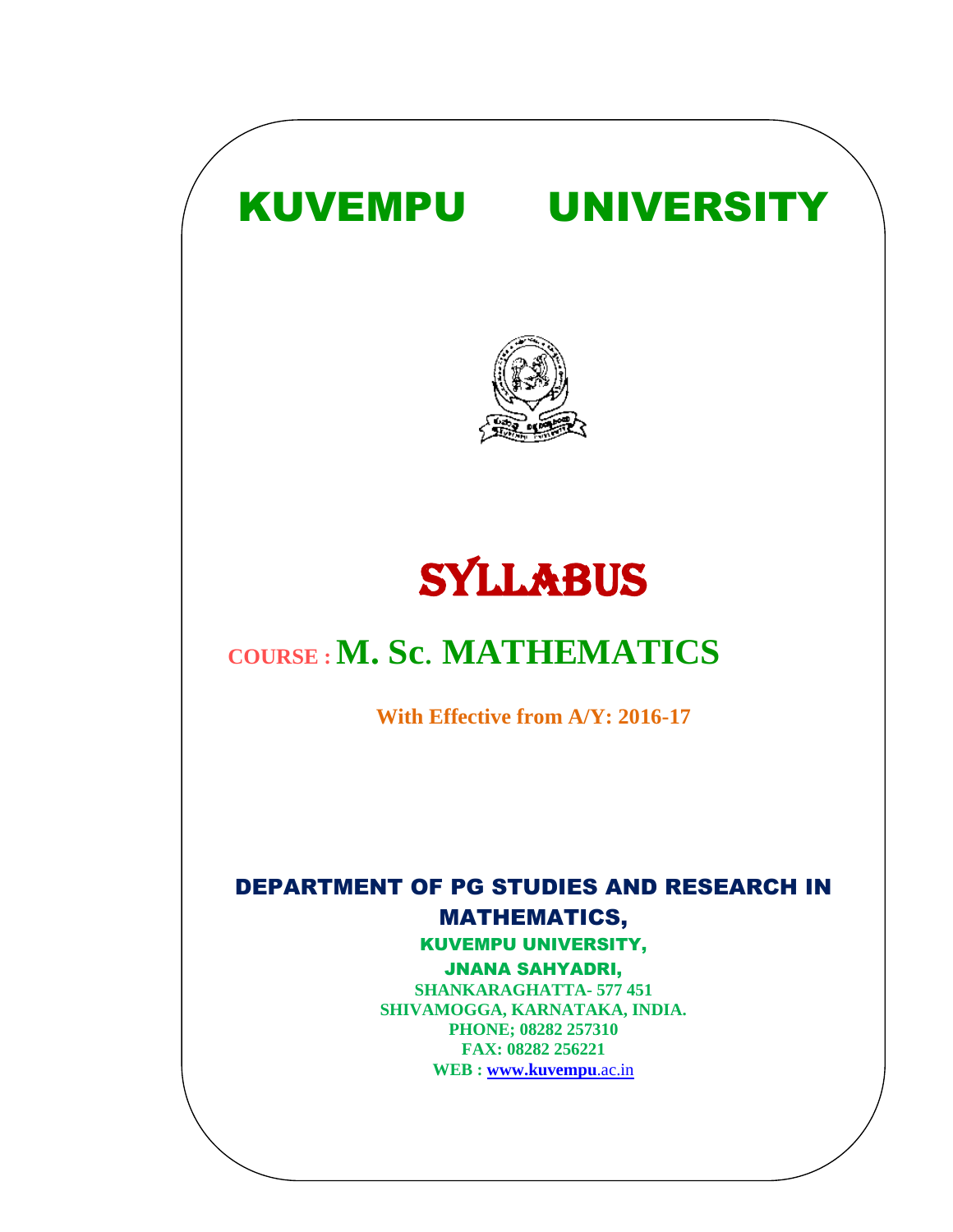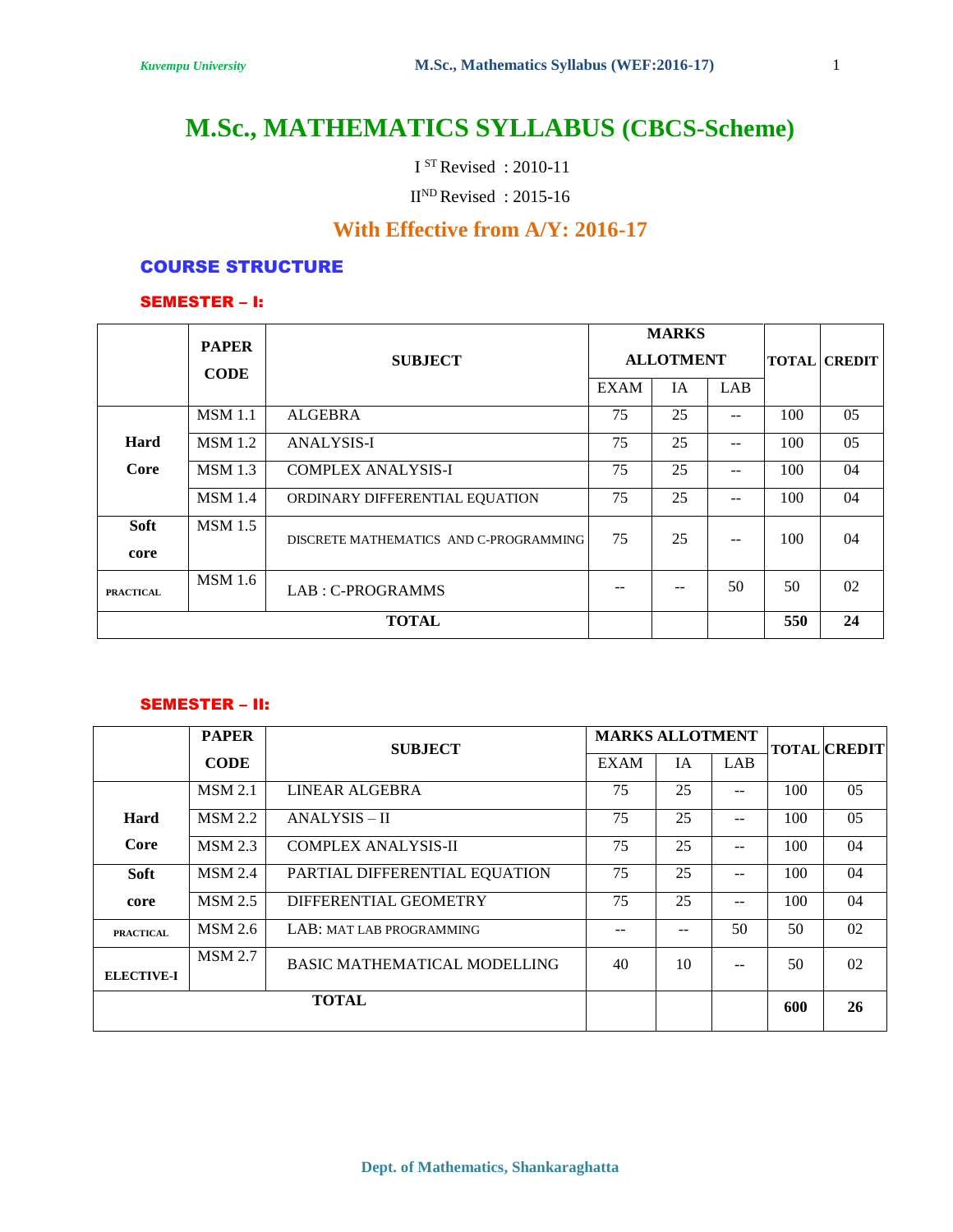# **M.Sc., MATHEMATICS SYLLABUS (CBCS-Scheme)**

I STRevised : 2010-11

 $II<sup>ND</sup> Revised : 2015-16$ 

## **With Effective from A/Y: 2016-17**

#### COURSE STRUCTURE

#### SEMESTER – I:

|                  | <b>PAPER</b><br><b>CODE</b> | <b>SUBJECT</b>                         |             | <b>MARKS</b><br><b>ALLOTMENT</b><br>IA | LAB |     | <b>TOTAL CREDIT</b> |
|------------------|-----------------------------|----------------------------------------|-------------|----------------------------------------|-----|-----|---------------------|
|                  |                             |                                        | <b>EXAM</b> |                                        |     |     |                     |
|                  | <b>MSM</b> 1.1              | <b>ALGEBRA</b>                         | 75          | 25                                     | $-$ | 100 | 05                  |
| Hard             | <b>MSM</b> 1.2              | <b>ANALYSIS-I</b>                      | 75          | 25                                     | $-$ | 100 | 05                  |
| Core             | <b>MSM</b> 1.3              | <b>COMPLEX ANALYSIS-I</b>              | 75          | 25                                     | $-$ | 100 | 04                  |
|                  | MSM 1.4                     | ORDINARY DIFFERENTIAL EQUATION         | 75          | 25                                     | $-$ | 100 | 04                  |
| <b>Soft</b>      | <b>MSM</b> 1.5              | DISCRETE MATHEMATICS AND C-PROGRAMMING | 75          | 25                                     | $-$ | 100 | 04                  |
| core             |                             |                                        |             |                                        |     |     |                     |
| <b>PRACTICAL</b> | <b>MSM</b> 1.6              | LAB: C-PROGRAMMS                       |             | --                                     | 50  | 50  | 02                  |
| <b>TOTAL</b>     |                             |                                        |             |                                        |     | 550 | 24                  |

#### SEMESTER – II:

|                                                                            | <b>PAPER</b>   | <b>SUBJECT</b>                | <b>MARKS ALLOTMENT</b> |           |       |     | <b>TOTAL CREDIT</b> |
|----------------------------------------------------------------------------|----------------|-------------------------------|------------------------|-----------|-------|-----|---------------------|
|                                                                            | <b>CODE</b>    |                               | <b>EXAM</b>            | <b>IA</b> | LAB   |     |                     |
|                                                                            | <b>MSM 2.1</b> | LINEAR ALGEBRA                | 75                     | 25        |       | 100 | 05                  |
| Hard                                                                       | <b>MSM 2.2</b> | <b>ANALYSIS – II</b>          | 75                     | 25        | $-$   | 100 | 05                  |
| Core                                                                       | <b>MSM 2.3</b> | <b>COMPLEX ANALYSIS-II</b>    | 75                     | 25        | $- -$ | 100 | 04                  |
| Soft                                                                       | <b>MSM 2.4</b> | PARTIAL DIFFERENTIAL EQUATION | 75                     | 25        | --    | 100 | 04                  |
| core                                                                       | <b>MSM 2.5</b> | DIFFERENTIAL GEOMETRY         | 75                     | 25        | $-$   | 100 | 04                  |
| <b>PRACTICAL</b>                                                           | <b>MSM 2.6</b> | LAB: MAT LAB PROGRAMMING      |                        |           | 50    | 50  | 02                  |
| <b>MSM 2.7</b><br><b>BASIC MATHEMATICAL MODELLING</b><br><b>ELECTIVE-I</b> |                | 40                            | 10                     | --        | 50    | 02  |                     |
|                                                                            |                | <b>TOTAL</b>                  |                        |           |       | 600 | 26                  |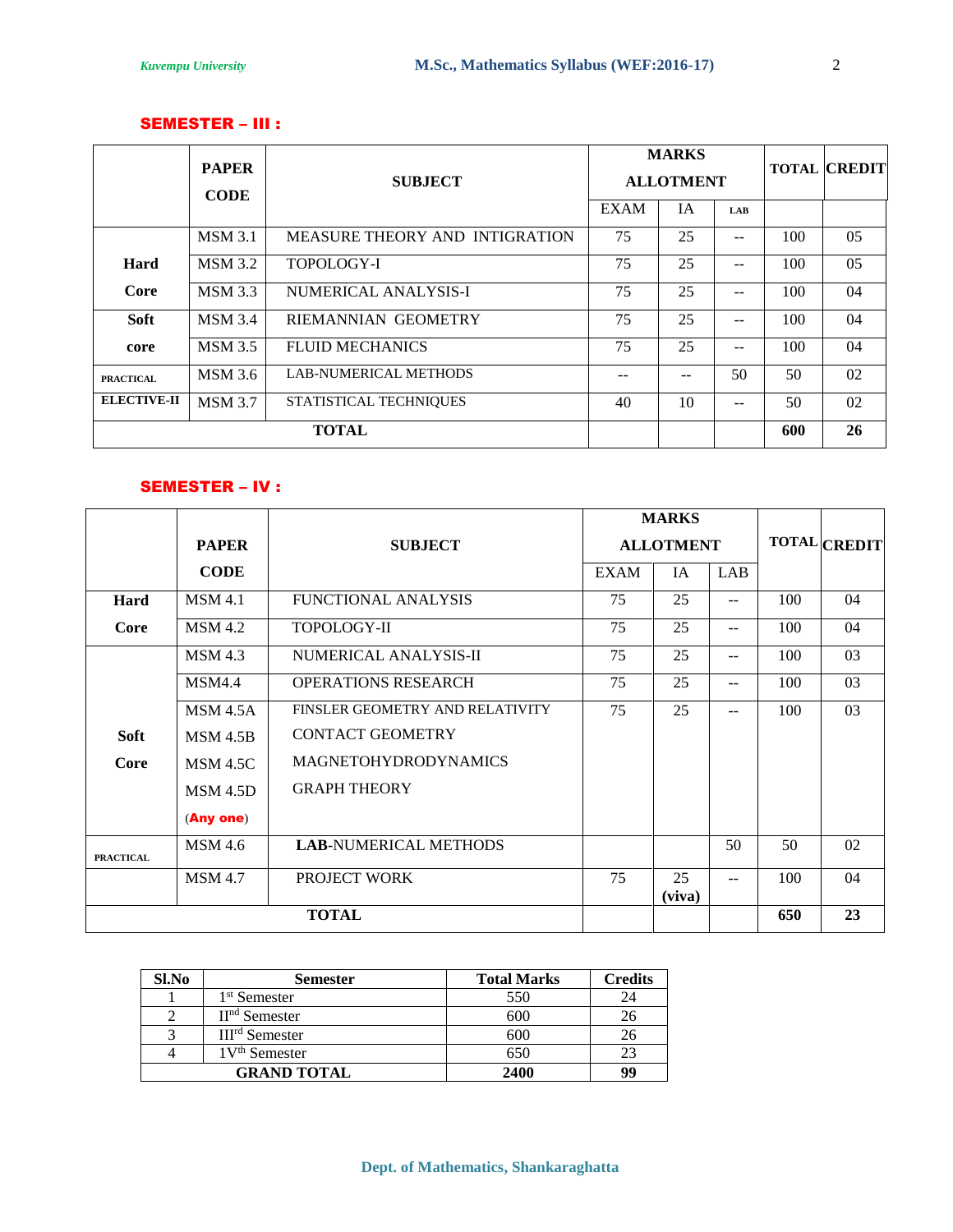#### SEMESTER – III :

|                    | <b>PAPER</b>                             |                                |             | <b>MARKS</b>     |            |     | <b>TOTAL CREDIT</b> |
|--------------------|------------------------------------------|--------------------------------|-------------|------------------|------------|-----|---------------------|
|                    | <b>CODE</b>                              | <b>SUBJECT</b>                 |             | <b>ALLOTMENT</b> |            |     |                     |
|                    |                                          |                                | <b>EXAM</b> | IA               | <b>LAB</b> |     |                     |
|                    | <b>MSM 3.1</b>                           | MEASURE THEORY AND INTIGRATION | 75          | 25               | $- -$      | 100 | 05                  |
| Hard               | <b>MSM 3.2</b>                           | TOPOLOGY-I                     | 75          | 25               | $- -$      | 100 | 05                  |
| Core               | <b>MSM 3.3</b>                           | NUMERICAL ANALYSIS-I           | 75          | 25               | $- -$      | 100 | 04                  |
| Soft               | <b>MSM 3.4</b>                           | <b>RIEMANNIAN GEOMETRY</b>     | 75          | 25               | $- -$      | 100 | 04                  |
| core               | <b>MSM 3.5</b>                           | <b>FLUID MECHANICS</b>         | 75          | 25               | $-$        | 100 | 04                  |
| <b>PRACTICAL</b>   | <b>MSM</b> 3.6                           | <b>LAB-NUMERICAL METHODS</b>   |             | --               | 50         | 50  | 02                  |
| <b>ELECTIVE-II</b> | <b>MSM 3.7</b><br>STATISTICAL TECHNIQUES |                                | 40          | 10               | $- -$      | 50  | 02                  |
|                    |                                          | <b>TOTAL</b>                   |             |                  |            | 600 | 26                  |

#### SEMESTER – IV :

|                                        |                                                    | <b>MARKS</b>                 |                  |              |            |                     |    |
|----------------------------------------|----------------------------------------------------|------------------------------|------------------|--------------|------------|---------------------|----|
|                                        | <b>PAPER</b>                                       | <b>SUBJECT</b>               | <b>ALLOTMENT</b> |              |            | <b>TOTAL CREDIT</b> |    |
|                                        | <b>CODE</b>                                        |                              | <b>EXAM</b>      | IA           | <b>LAB</b> |                     |    |
| Hard                                   | <b>MSM 4.1</b>                                     | <b>FUNCTIONAL ANALYSIS</b>   | 75               | 25           | $- -$      | 100                 | 04 |
| Core                                   | <b>MSM 4.2</b>                                     | TOPOLOGY-II                  | 75               | 25           | $- -$      | 100                 | 04 |
|                                        | <b>MSM 4.3</b><br>NUMERICAL ANALYSIS-II            |                              | 75               | 25           | --         | 100                 | 03 |
| <b>MSM4.4</b>                          |                                                    | <b>OPERATIONS RESEARCH</b>   | 75               | 25           | --         | 100                 | 03 |
|                                        | <b>MSM 4.5A</b><br>FINSLER GEOMETRY AND RELATIVITY |                              | 75               | 25           | --         | 100                 | 03 |
| <b>Soft</b>                            | MSM 4.5B                                           | <b>CONTACT GEOMETRY</b>      |                  |              |            |                     |    |
| Core                                   | <b>MAGNETOHYDRODYNAMICS</b><br><b>MSM 4.5C</b>     |                              |                  |              |            |                     |    |
| <b>GRAPH THEORY</b><br><b>MSM 4.5D</b> |                                                    |                              |                  |              |            |                     |    |
|                                        | (Any one)                                          |                              |                  |              |            |                     |    |
| <b>PRACTICAL</b>                       | <b>MSM</b> 4.6                                     | <b>LAB-NUMERICAL METHODS</b> |                  |              | 50         | 50                  | 02 |
|                                        | <b>MSM 4.7</b>                                     | PROJECT WORK                 | 75               | 25<br>(viva) | $- -$      | 100                 | 04 |
| <b>TOTAL</b>                           |                                                    |                              |                  |              |            | 650                 | 23 |

| Sl.No | <b>Semester</b>          | <b>Total Marks</b> | <b>Credits</b> |
|-------|--------------------------|--------------------|----------------|
|       | 1 <sup>st</sup> Semester | 550                |                |
|       | $IInd$ Semester          | 600                |                |
|       | $IIIrd$ Semester         | 600                |                |
|       | $1Vth$ Semester          | 650                |                |
|       | <b>GRAND TOTAL</b>       | 2400               | 99             |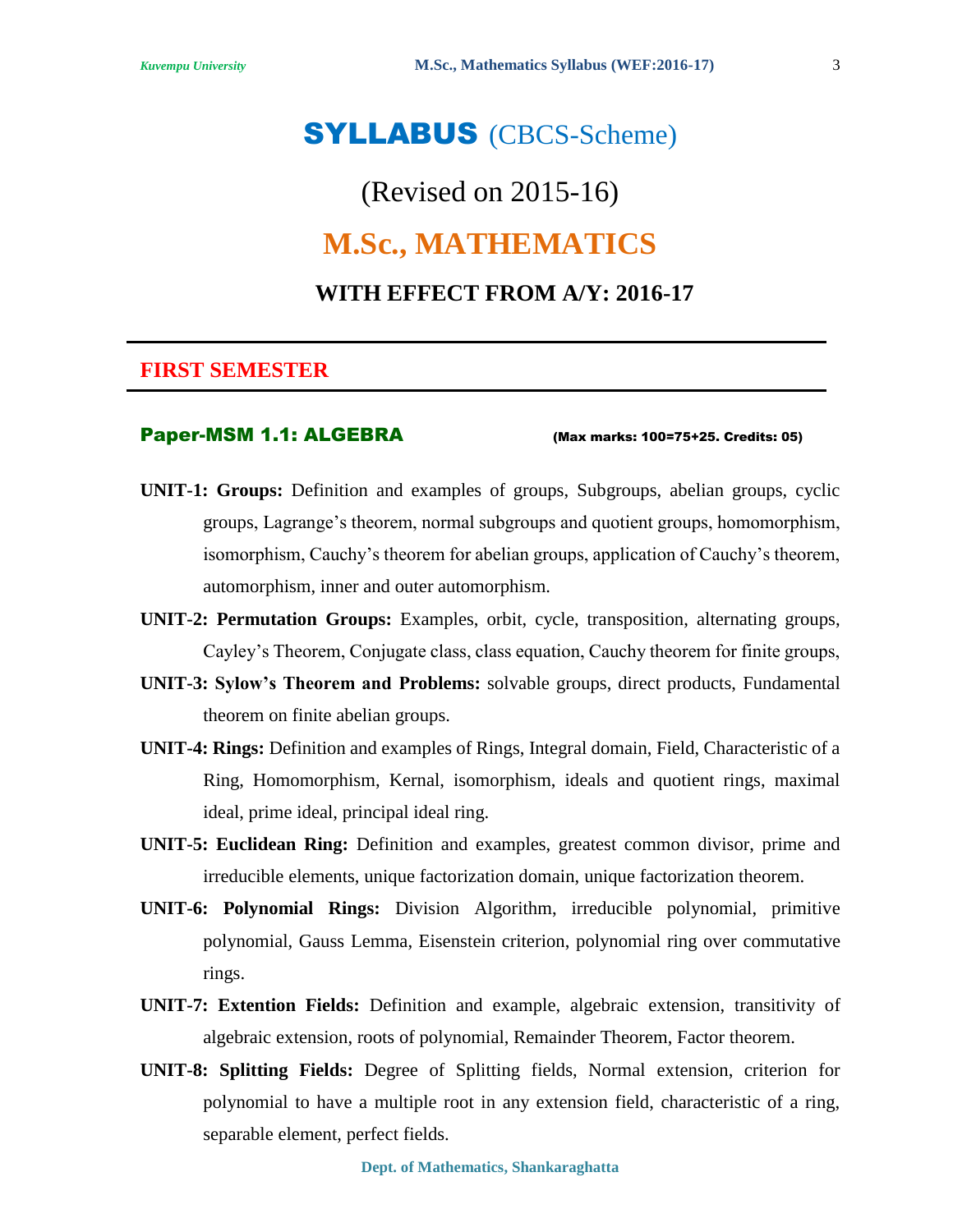# SYLLABUS (CBCS-Scheme)

# (Revised on 2015-16) **M.Sc., MATHEMATICS WITH EFFECT FROM A/Y: 2016-17**

### **FIRST SEMESTER**

#### Paper-MSM 1.1: ALGEBRA (Max marks: 100=75+25. Credits: 05)

- **UNIT-1: Groups:** Definition and examples of groups, Subgroups, abelian groups, cyclic groups, Lagrange's theorem, normal subgroups and quotient groups, homomorphism, isomorphism, Cauchy's theorem for abelian groups, application of Cauchy's theorem, automorphism, inner and outer automorphism.
- **UNIT-2: Permutation Groups:** Examples, orbit, cycle, transposition, alternating groups, Cayley's Theorem, Conjugate class, class equation, Cauchy theorem for finite groups,
- **UNIT-3: Sylow's Theorem and Problems:** solvable groups, direct products, Fundamental theorem on finite abelian groups.
- **UNIT-4: Rings:** Definition and examples of Rings, Integral domain, Field, Characteristic of a Ring, Homomorphism, Kernal, isomorphism, ideals and quotient rings, maximal ideal, prime ideal, principal ideal ring.
- **UNIT-5: Euclidean Ring:** Definition and examples, greatest common divisor, prime and irreducible elements, unique factorization domain, unique factorization theorem.
- **UNIT-6: Polynomial Rings:** Division Algorithm, irreducible polynomial, primitive polynomial, Gauss Lemma, Eisenstein criterion, polynomial ring over commutative rings.
- **UNIT-7: Extention Fields:** Definition and example, algebraic extension, transitivity of algebraic extension, roots of polynomial, Remainder Theorem, Factor theorem.
- **UNIT-8: Splitting Fields:** Degree of Splitting fields, Normal extension, criterion for polynomial to have a multiple root in any extension field, characteristic of a ring, separable element, perfect fields.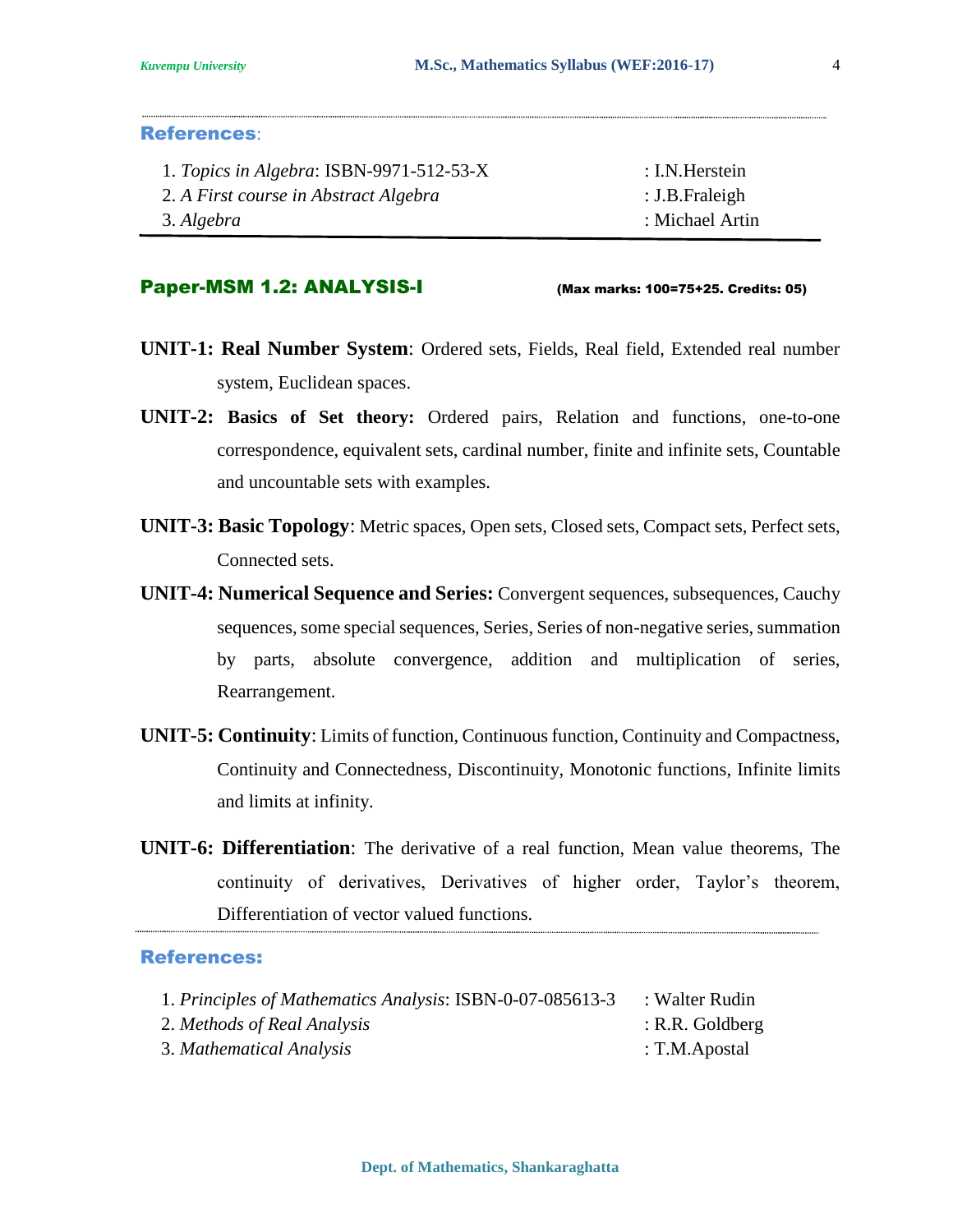#### References:

| 1. Topics in Algebra: ISBN-9971-512-53-X | : I.N. Herstein |
|------------------------------------------|-----------------|
| 2. A First course in Abstract Algebra    | : J.B.Fraleigh  |
| 3. Algebra                               | : Michael Artin |

#### Paper-MSM 1.2: ANALYSIS-I (Max marks: 100=75+25. Credits: 05)

- **UNIT-1: Real Number System**: Ordered sets, Fields, Real field, Extended real number system, Euclidean spaces.
- **UNIT-2: Basics of Set theory:** Ordered pairs, Relation and functions, one-to-one correspondence, equivalent sets, cardinal number, finite and infinite sets, Countable and uncountable sets with examples.
- **UNIT-3: Basic Topology**: Metric spaces, Open sets, Closed sets, Compact sets, Perfect sets, Connected sets.
- **UNIT-4: Numerical Sequence and Series:** Convergent sequences, subsequences, Cauchy sequences, some special sequences, Series, Series of non-negative series, summation by parts, absolute convergence, addition and multiplication of series, Rearrangement.
- **UNIT-5: Continuity**: Limits of function, Continuous function, Continuity and Compactness, Continuity and Connectedness, Discontinuity, Monotonic functions, Infinite limits and limits at infinity.
- **UNIT-6: Differentiation**: The derivative of a real function, Mean value theorems, The continuity of derivatives, Derivatives of higher order, Taylor's theorem, Differentiation of vector valued functions.

| 1. Principles of Mathematics Analysis: ISBN-0-07-085613-3 | : Walter Rudin    |
|-----------------------------------------------------------|-------------------|
| 2. Methods of Real Analysis                               | $:$ R.R. Goldberg |
| 3. Mathematical Analysis                                  | : T.M.Apostal     |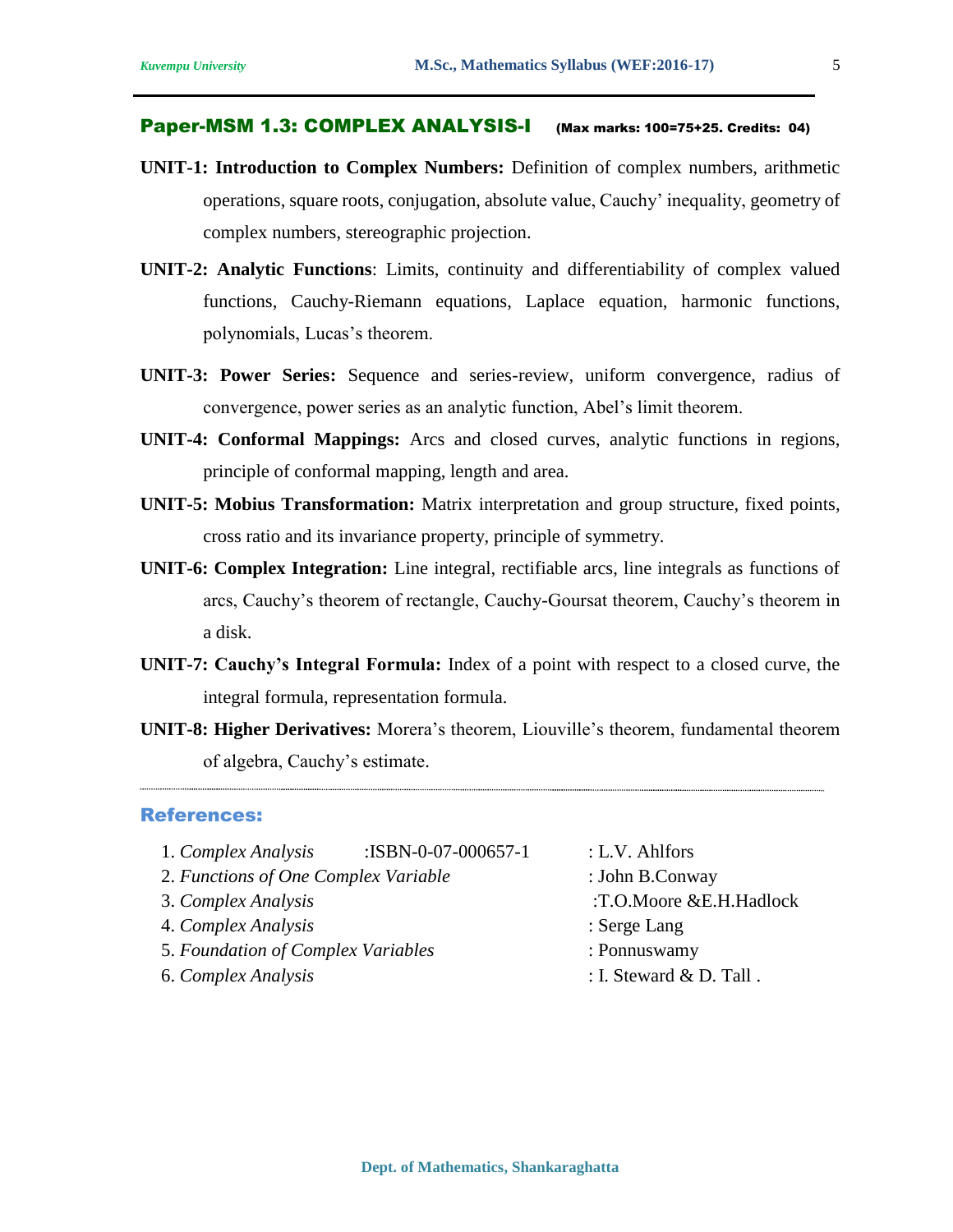#### Paper-MSM 1.3: COMPLEX ANALYSIS-I (Max marks: 100=75+25. Credits: 04)

- **UNIT-1: Introduction to Complex Numbers:** Definition of complex numbers, arithmetic operations, square roots, conjugation, absolute value, Cauchy' inequality, geometry of complex numbers, stereographic projection.
- **UNIT-2: Analytic Functions**: Limits, continuity and differentiability of complex valued functions, Cauchy-Riemann equations, Laplace equation, harmonic functions, polynomials, Lucas's theorem.
- **UNIT-3: Power Series:** Sequence and series-review, uniform convergence, radius of convergence, power series as an analytic function, Abel's limit theorem.
- **UNIT-4: Conformal Mappings:** Arcs and closed curves, analytic functions in regions, principle of conformal mapping, length and area.
- **UNIT-5: Mobius Transformation:** Matrix interpretation and group structure, fixed points, cross ratio and its invariance property, principle of symmetry.
- **UNIT-6: Complex Integration:** Line integral, rectifiable arcs, line integrals as functions of arcs, Cauchy's theorem of rectangle, Cauchy-Goursat theorem, Cauchy's theorem in a disk.
- **UNIT-7: Cauchy's Integral Formula:** Index of a point with respect to a closed curve, the integral formula, representation formula.
- **UNIT-8: Higher Derivatives:** Morera's theorem, Liouville's theorem, fundamental theorem of algebra, Cauchy's estimate.

- 1. *Complex Analysis* :ISBN-0-07-000657-1 : L.V. Ahlfors
- 2. *Functions of One Complex Variable* : John B.Conway
- 
- 4. *Complex Analysis* : Serge Lang
- 5. *Foundation of Complex Variables* : Ponnuswamy
- 
- 
- 
- 3. *Complex Analysis* :T.O.Moore &E.H.Hadlock
	-
	-
- 6. *Complex Analysis* : I. Steward & D. Tall .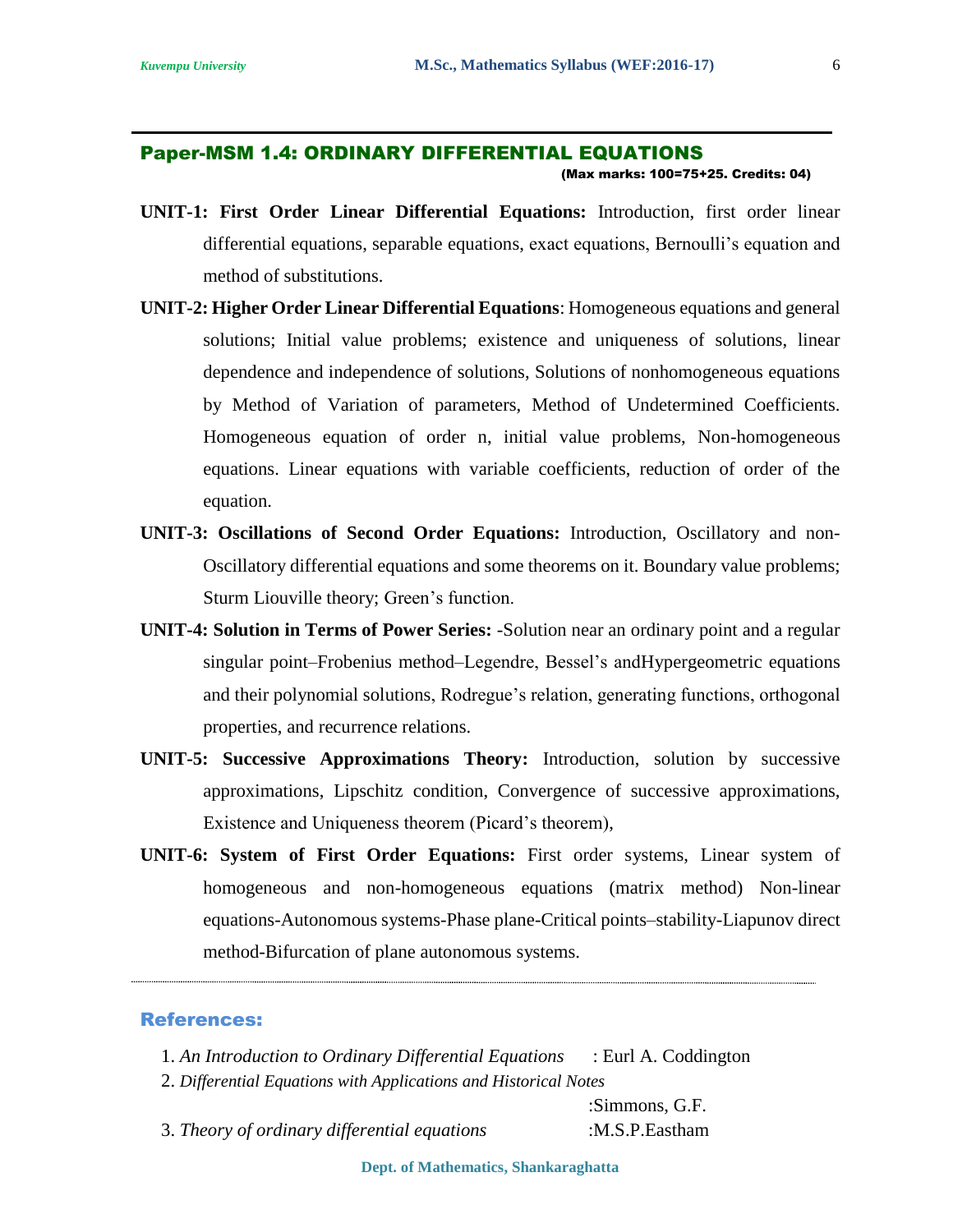Paper-MSM 1.4: ORDINARY DIFFERENTIAL EQUATIONS

(Max marks: 100=75+25. Credits: 04)

- **UNIT-1: First Order Linear Differential Equations:** Introduction, first order linear differential equations, separable equations, exact equations, Bernoulli's equation and method of substitutions.
- **UNIT-2: Higher Order Linear Differential Equations**: Homogeneous equations and general solutions; Initial value problems; existence and uniqueness of solutions, linear dependence and independence of solutions, Solutions of nonhomogeneous equations by Method of Variation of parameters, Method of Undetermined Coefficients. Homogeneous equation of order n, initial value problems, Non-homogeneous equations. Linear equations with variable coefficients, reduction of order of the equation.
- **UNIT-3: Oscillations of Second Order Equations:** Introduction, Oscillatory and non-Oscillatory differential equations and some theorems on it. Boundary value problems; Sturm Liouville theory; Green's function.
- **UNIT-4: Solution in Terms of Power Series:** -Solution near an ordinary point and a regular singular point–Frobenius method–Legendre, Bessel's andHypergeometric equations and their polynomial solutions, Rodregue's relation, generating functions, orthogonal properties, and recurrence relations.
- **UNIT-5: Successive Approximations Theory:** Introduction, solution by successive approximations, Lipschitz condition, Convergence of successive approximations, Existence and Uniqueness theorem (Picard's theorem),
- **UNIT-6: System of First Order Equations:** First order systems, Linear system of homogeneous and non-homogeneous equations (matrix method) Non-linear equations-Autonomous systems-Phase plane-Critical points–stability-Liapunov direct method-Bifurcation of plane autonomous systems.

#### References:

- 1. *An Introduction to Ordinary Differential Equations* : Eurl A. Coddington
- 2. *Differential Equations with Applications and Historical Notes*

:Simmons, G.F.

3. *Theory of ordinary differential equations* :M.S.P.Eastham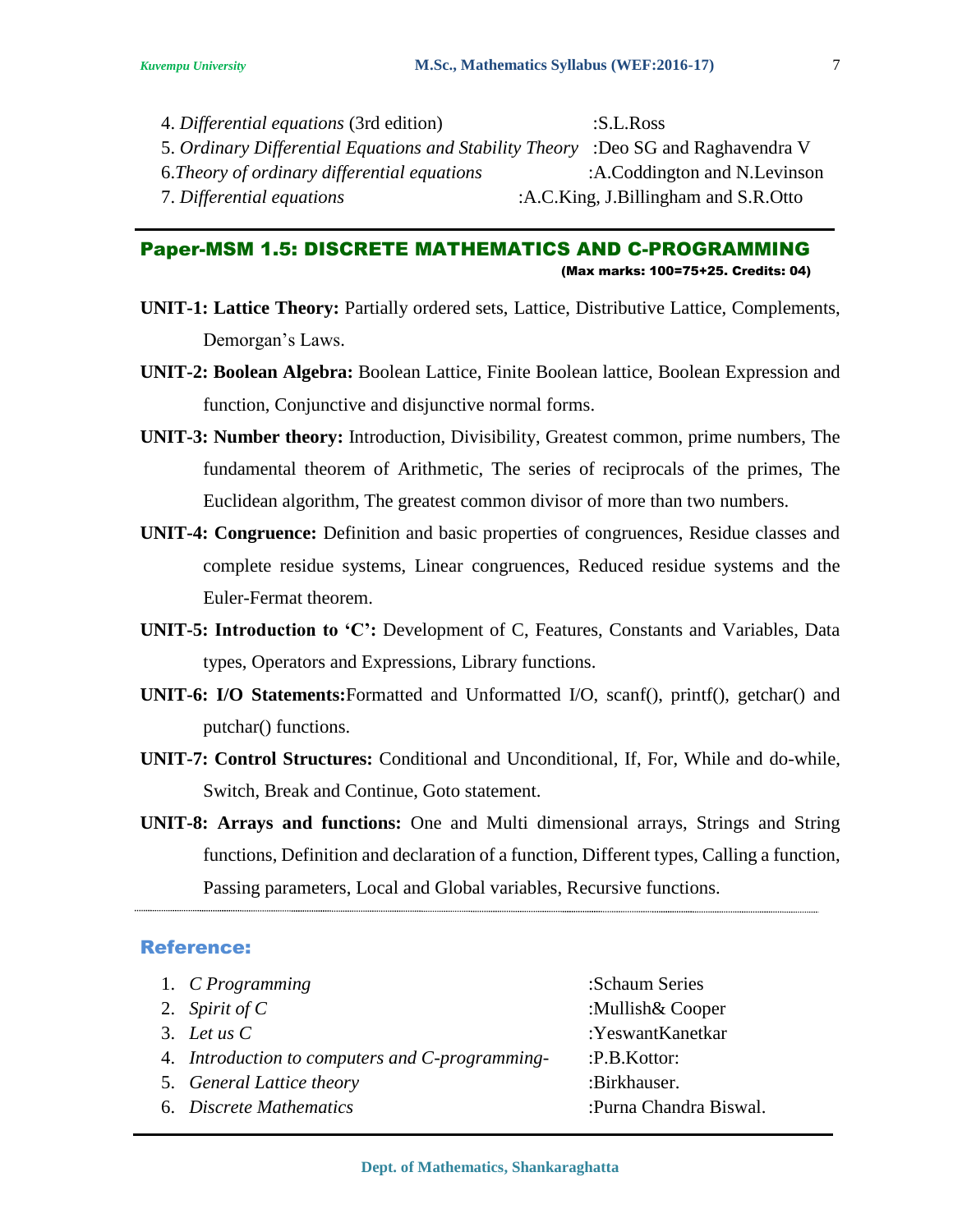#### Paper-MSM 1.5: DISCRETE MATHEMATICS AND C-PROGRAMMING (Max marks: 100=75+25. Credits: 04)

- **UNIT-1: Lattice Theory:** Partially ordered sets, Lattice, Distributive Lattice, Complements, Demorgan's Laws.
- **UNIT-2: Boolean Algebra:** Boolean Lattice, Finite Boolean lattice, Boolean Expression and function, Conjunctive and disjunctive normal forms.
- **UNIT-3: Number theory:** Introduction, Divisibility, Greatest common, prime numbers, The fundamental theorem of Arithmetic, The series of reciprocals of the primes, The Euclidean algorithm, The greatest common divisor of more than two numbers.
- **UNIT-4: Congruence:** Definition and basic properties of congruences, Residue classes and complete residue systems, Linear congruences, Reduced residue systems and the Euler-Fermat theorem.
- **UNIT-5: Introduction to 'C':** Development of C, Features, Constants and Variables, Data types, Operators and Expressions, Library functions.
- **UNIT-6: I/O Statements:**Formatted and Unformatted I/O, scanf(), printf(), getchar() and putchar() functions.
- **UNIT-7: Control Structures:** Conditional and Unconditional, If, For, While and do-while, Switch, Break and Continue, Goto statement.
- **UNIT-8: Arrays and functions:** One and Multi dimensional arrays, Strings and String functions, Definition and declaration of a function, Different types, Calling a function, Passing parameters, Local and Global variables, Recursive functions.

| 1. C Programming                                | :Schaum Series         |
|-------------------------------------------------|------------------------|
| 2. Spirit of $C$                                | :Mullish& Cooper       |
| 3. Let us $C$                                   | :YeswantKanetkar       |
| 4. Introduction to computers and C-programming- | :P.B.Kottor:           |
| 5. General Lattice theory                       | :Birkhauser.           |
| 6. Discrete Mathematics                         | :Purna Chandra Biswal. |
|                                                 |                        |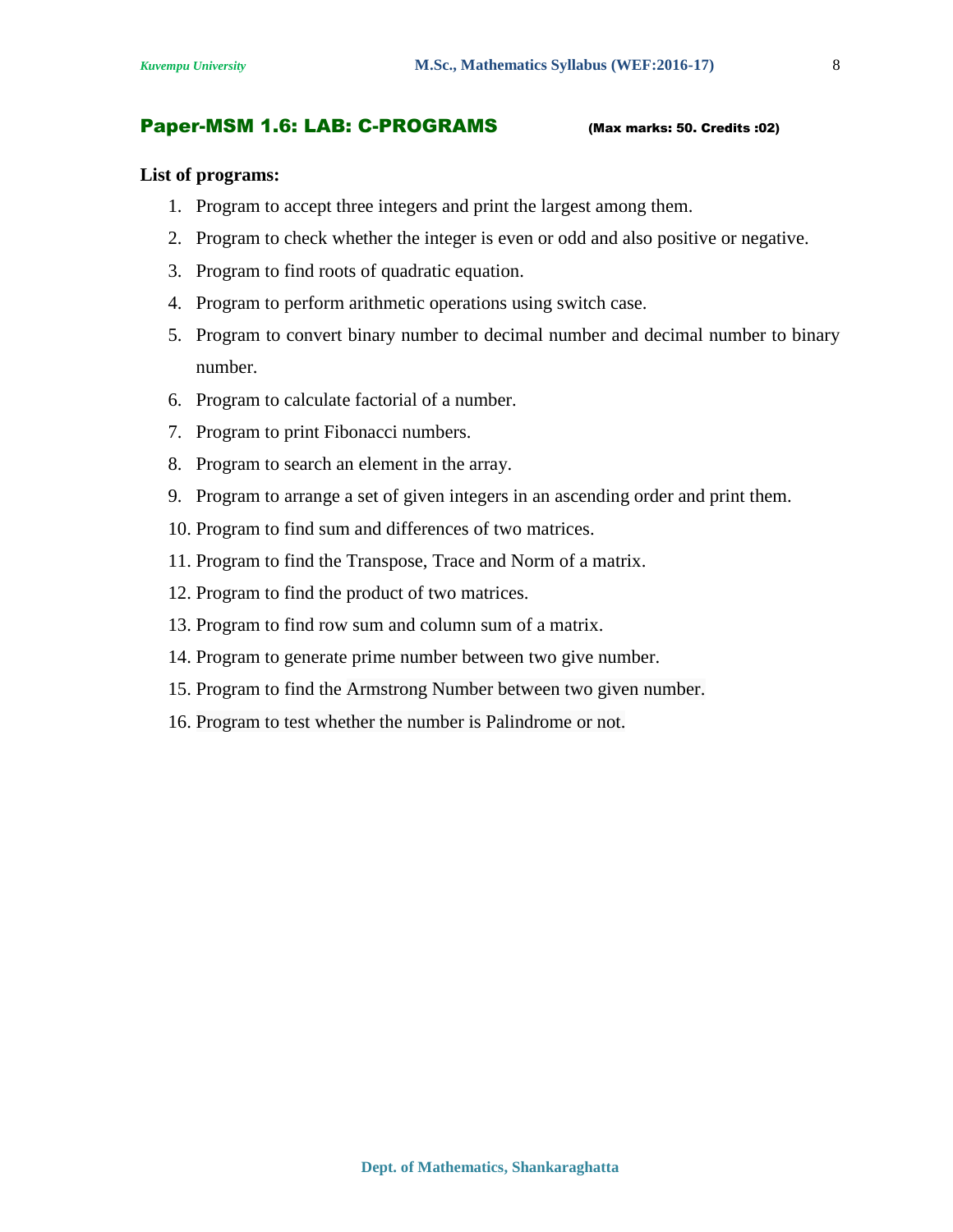#### Paper-MSM 1.6: LAB: C-PROGRAMS (Max marks: 50. Credits :02)

#### **List of programs:**

- 1. Program to accept three integers and print the largest among them.
- 2. Program to check whether the integer is even or odd and also positive or negative.
- 3. Program to find roots of quadratic equation.
- 4. Program to perform arithmetic operations using switch case.
- 5. Program to convert binary number to decimal number and decimal number to binary number.
- 6. Program to calculate factorial of a number.
- 7. Program to print Fibonacci numbers.
- 8. Program to search an element in the array.
- 9. Program to arrange a set of given integers in an ascending order and print them.
- 10. Program to find sum and differences of two matrices.
- 11. Program to find the Transpose, Trace and Norm of a matrix.
- 12. Program to find the product of two matrices.
- 13. Program to find row sum and column sum of a matrix.
- 14. Program to generate prime number between two give number.
- 15. Program to find the Armstrong Number between two given number.
- 16. Program to test whether the number is Palindrome or not.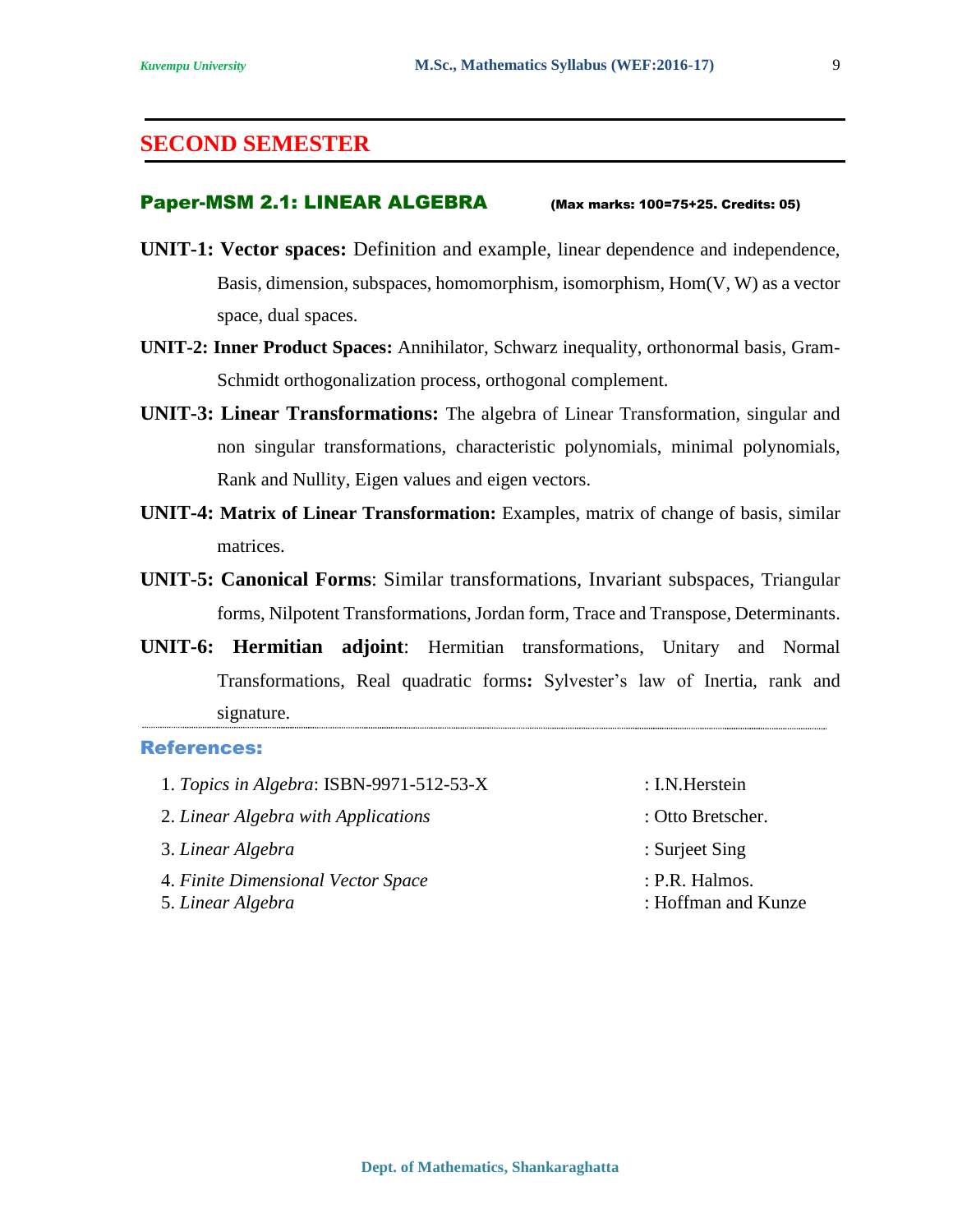### **SECOND SEMESTER**

#### Paper-MSM 2.1: LINEAR ALGEBRA (Max marks: 100=75+25. Credits: 05)

- **UNIT-1: Vector spaces:** Definition and example, linear dependence and independence, Basis, dimension, subspaces, homomorphism, isomorphism, Hom(V, W) as a vector space, dual spaces.
- **UNIT-2: Inner Product Spaces:** Annihilator, Schwarz inequality, orthonormal basis, Gram-Schmidt orthogonalization process, orthogonal complement.
- **UNIT-3: Linear Transformations:** The algebra of Linear Transformation, singular and non singular transformations, characteristic polynomials, minimal polynomials, Rank and Nullity, Eigen values and eigen vectors.
- **UNIT-4: Matrix of Linear Transformation:** Examples, matrix of change of basis, similar matrices.
- **UNIT-5: Canonical Forms**: Similar transformations, Invariant subspaces, Triangular forms, Nilpotent Transformations, Jordan form, Trace and Transpose, Determinants.
- **UNIT-6: Hermitian adjoint**: Hermitian transformations, Unitary and Normal Transformations, Real quadratic forms**:** Sylvester's law of Inertia, rank and signature.

| 1. Topics in Algebra: ISBN-9971-512-53-X                | : I.N. Herstein                         |
|---------------------------------------------------------|-----------------------------------------|
| 2. Linear Algebra with Applications                     | : Otto Bretscher.                       |
| 3. Linear Algebra                                       | : Surject Sing                          |
| 4. Finite Dimensional Vector Space<br>5. Linear Algebra | $:$ P.R. Halmos.<br>: Hoffman and Kunze |

- 
- 
- 
-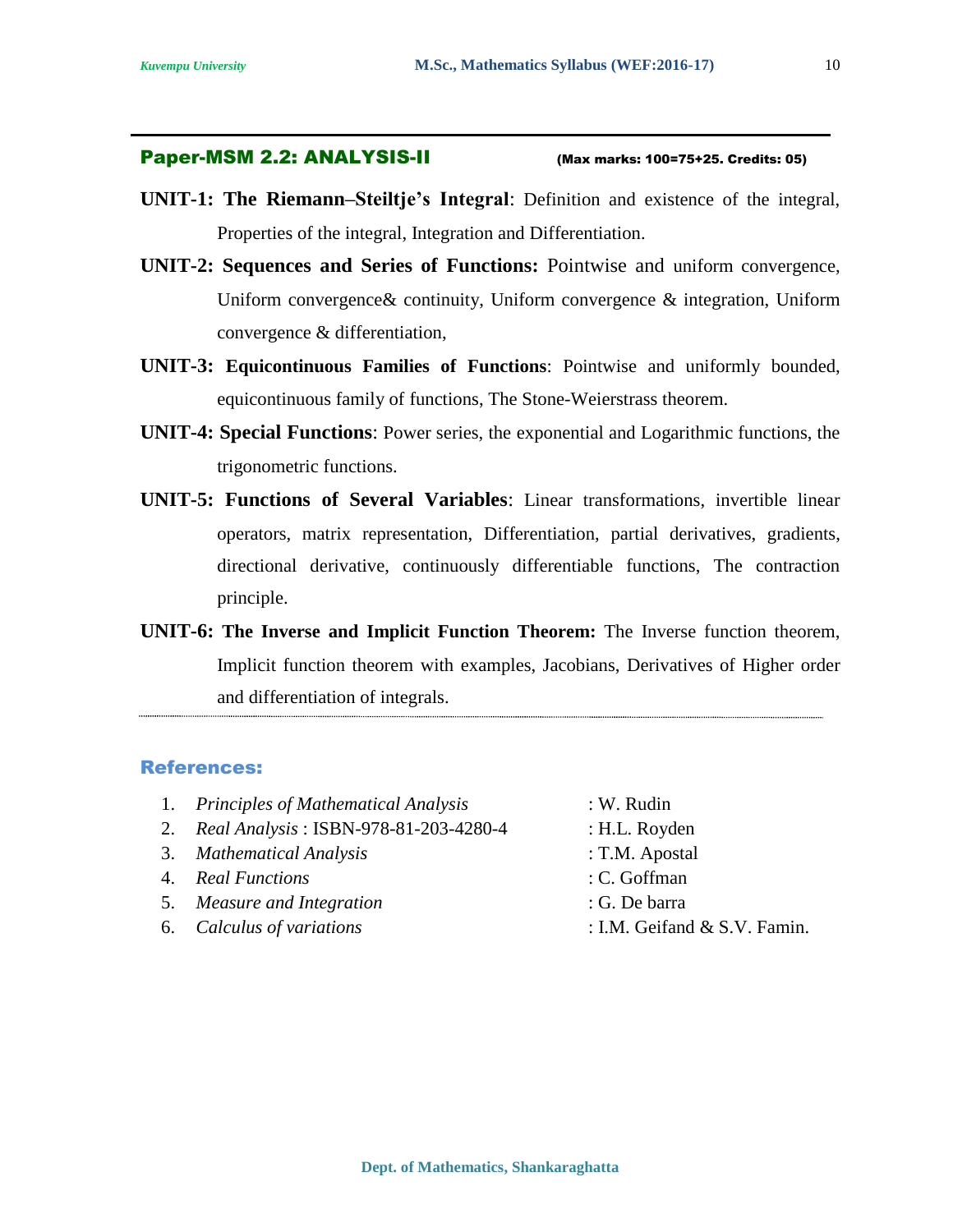#### Paper-MSM 2.2: ANALYSIS-II (Max marks: 100=75+25. Credits: 05)

- **UNIT-1: The Riemann–Steiltje's Integral**: Definition and existence of the integral, Properties of the integral, Integration and Differentiation.
- **UNIT-2: Sequences and Series of Functions:** Pointwise and uniform convergence, Uniform convergence& continuity, Uniform convergence & integration, Uniform convergence & differentiation,
- **UNIT-3: Equicontinuous Families of Functions**: Pointwise and uniformly bounded, equicontinuous family of functions, The Stone-Weierstrass theorem.
- **UNIT-4: Special Functions**: Power series, the exponential and Logarithmic functions, the trigonometric functions.
- **UNIT-5: Functions of Several Variables**: Linear transformations, invertible linear operators, matrix representation, Differentiation, partial derivatives, gradients, directional derivative, continuously differentiable functions, The contraction principle.
- **UNIT-6: The Inverse and Implicit Function Theorem:** The Inverse function theorem, Implicit function theorem with examples, Jacobians, Derivatives of Higher order and differentiation of integrals.

- 1. *Principles of Mathematical Analysis* : W. Rudin 2. *Real Analysis* : ISBN-978-81-203-4280-4 : H.L. Royden 3. *Mathematical Analysis* : T.M. Apostal 4. *Real Functions* : C. Goffman
- 5. *Measure and Integration* : G. De barra
- 6. *Calculus of variations* : I.M. Geifand & S.V. Famin.
- 
- 
- 
- 
- -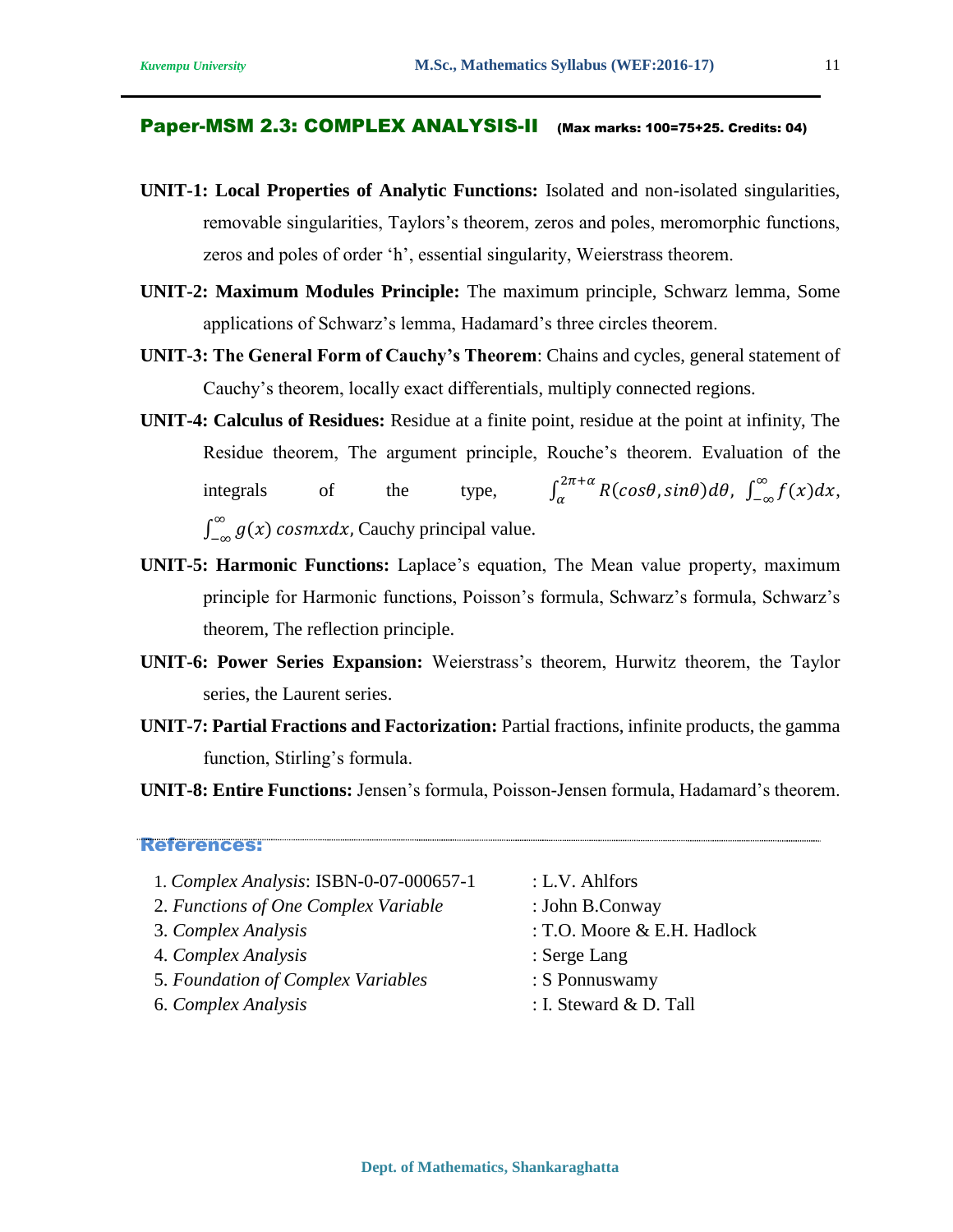#### Paper-MSM 2.3: COMPLEX ANALYSIS-II (Max marks: 100=75+25. Credits: 04)

- **UNIT-1: Local Properties of Analytic Functions:** Isolated and non-isolated singularities, removable singularities, Taylors's theorem, zeros and poles, meromorphic functions, zeros and poles of order 'h', essential singularity, Weierstrass theorem.
- **UNIT-2: Maximum Modules Principle:** The maximum principle, Schwarz lemma, Some applications of Schwarz's lemma, Hadamard's three circles theorem.
- **UNIT-3: The General Form of Cauchy's Theorem**: Chains and cycles, general statement of Cauchy's theorem, locally exact differentials, multiply connected regions.
- **UNIT-4: Calculus of Residues:** Residue at a finite point, residue at the point at infinity, The Residue theorem, The argument principle, Rouche's theorem. Evaluation of the integrals of the type,  $\int_{\alpha}^{2\pi+\alpha} R(cos\theta, sin\theta) d\theta$ ,  $\int_{\alpha}^{2\pi+\alpha} R(cos\theta, sin\theta) d\theta$ ,  $\int_{-\infty}^{\infty} f(x) dx$ ,  $\int_{-\infty}^{\infty} g(x)$  $\int_{-\infty}^{\infty} g(x) \cos{mx} dx$ , Cauchy principal value.
- **UNIT-5: Harmonic Functions:** Laplace's equation, The Mean value property, maximum principle for Harmonic functions, Poisson's formula, Schwarz's formula, Schwarz's theorem, The reflection principle.
- **UNIT-6: Power Series Expansion:** Weierstrass's theorem, Hurwitz theorem, the Taylor series, the Laurent series.
- **UNIT-7: Partial Fractions and Factorization:** Partial fractions, infinite products, the gamma function, Stirling's formula.

**UNIT-8: Entire Functions:** Jensen's formula, Poisson-Jensen formula, Hadamard's theorem.

- 1. *Complex Analysis*: ISBN-0-07-000657-1 : L.V. Ahlfors
- 2. *Functions of One Complex Variable* : John B.Conway
- 
- 4. *Complex Analysis* : Serge Lang
- 5. *Foundation of Complex Variables* : S Ponnuswamy
- 
- 
- 
- 3. *Complex Analysis* : T.O. Moore & E.H. Hadlock
	-
	-
- 6. *Complex Analysis* : I. Steward & D. Tall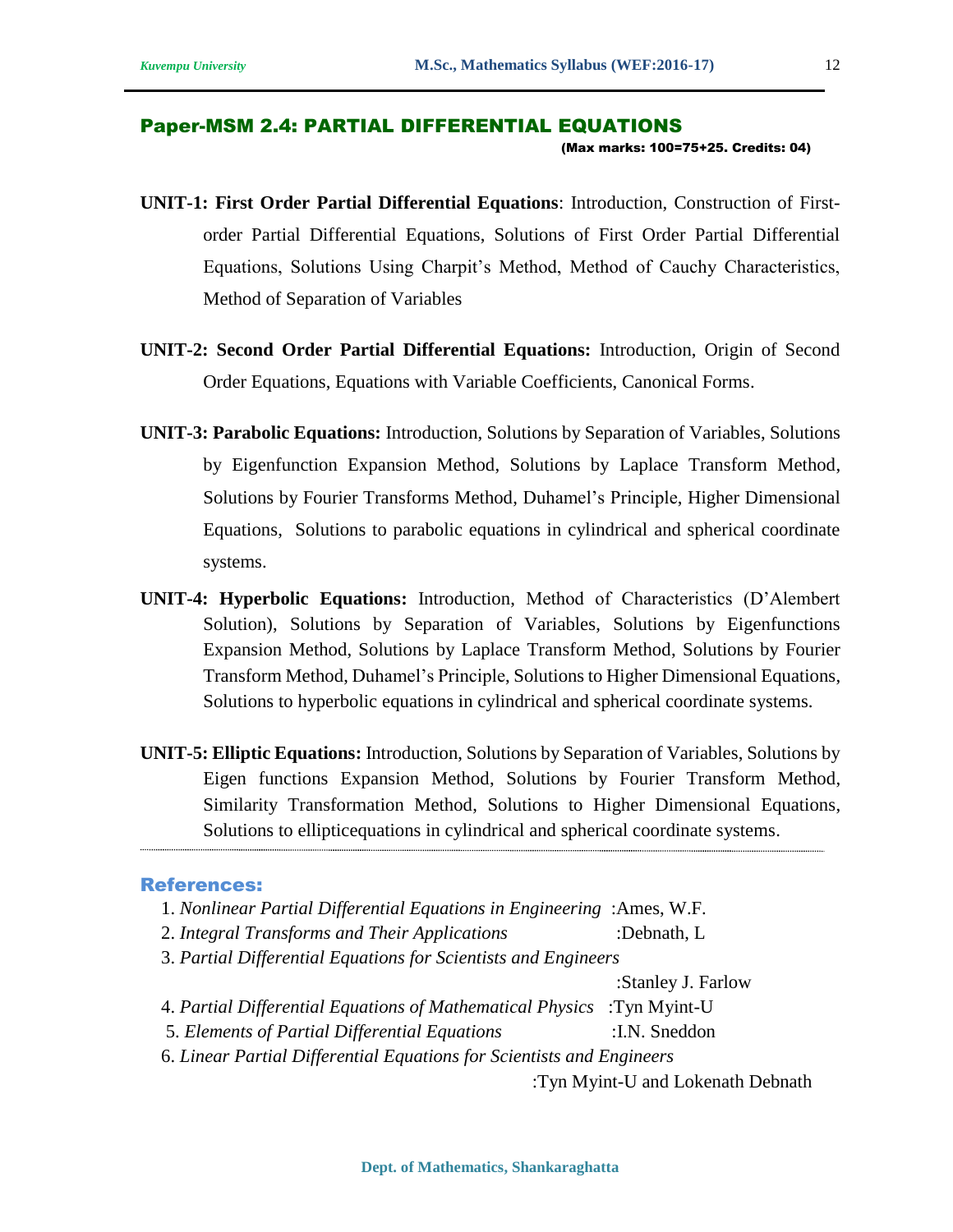#### Paper-MSM 2.4: PARTIAL DIFFERENTIAL EQUATIONS (Max marks: 100=75+25. Credits: 04)

- **UNIT-1: First Order Partial Differential Equations**: Introduction, Construction of Firstorder Partial Differential Equations, Solutions of First Order Partial Differential Equations, Solutions Using Charpit's Method, Method of Cauchy Characteristics, Method of Separation of Variables
- **UNIT-2: Second Order Partial Differential Equations:** Introduction, Origin of Second Order Equations, Equations with Variable Coefficients, Canonical Forms.
- **UNIT-3: Parabolic Equations:** Introduction, Solutions by Separation of Variables, Solutions by Eigenfunction Expansion Method, Solutions by Laplace Transform Method, Solutions by Fourier Transforms Method, Duhamel's Principle, Higher Dimensional Equations, Solutions to parabolic equations in cylindrical and spherical coordinate systems.
- **UNIT-4: Hyperbolic Equations:** Introduction, Method of Characteristics (D'Alembert Solution), Solutions by Separation of Variables, Solutions by Eigenfunctions Expansion Method, Solutions by Laplace Transform Method, Solutions by Fourier Transform Method, Duhamel's Principle, Solutions to Higher Dimensional Equations, Solutions to hyperbolic equations in cylindrical and spherical coordinate systems.
- **UNIT-5: Elliptic Equations:** Introduction, Solutions by Separation of Variables, Solutions by Eigen functions Expansion Method, Solutions by Fourier Transform Method, Similarity Transformation Method, Solutions to Higher Dimensional Equations, Solutions to ellipticequations in cylindrical and spherical coordinate systems.

#### References:

- 1. *Nonlinear Partial Differential Equations in Engineering* :Ames, W.F.
- 2. *Integral Transforms and Their Applications* :Debnath, L
- 3. *Partial Differential Equations for Scientists and Engineers*

:Stanley J. Farlow

- 4. *Partial Differential Equations of Mathematical Physics* :Tyn Myint-U
- 5. *Elements of Partial Differential Equations* :I.N. Sneddon
- 6. *Linear Partial Differential Equations for Scientists and Engineers*

:Tyn Myint-U and Lokenath Debnath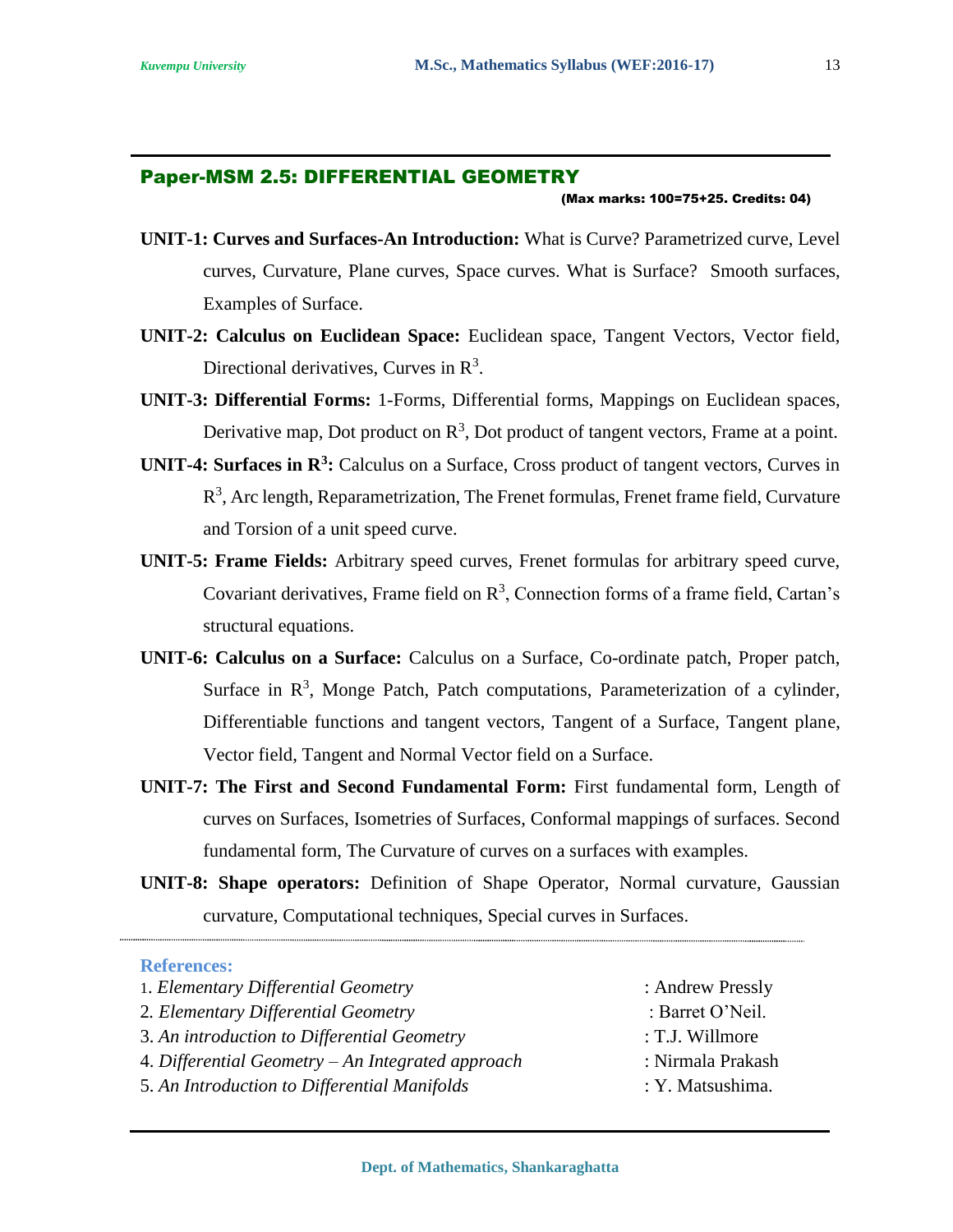#### Paper-MSM 2.5: DIFFERENTIAL GEOMETRY

#### (Max marks: 100=75+25. Credits: 04)

- **UNIT-1: Curves and Surfaces-An Introduction:** What is Curve? Parametrized curve, Level curves, Curvature, Plane curves, Space curves. What is Surface? Smooth surfaces, Examples of Surface.
- **UNIT-2: Calculus on Euclidean Space:** Euclidean space, Tangent Vectors, Vector field, Directional derivatives, Curves in  $\mathbb{R}^3$ .
- **UNIT-3: Differential Forms:** 1-Forms, Differential forms, Mappings on Euclidean spaces, Derivative map, Dot product on  $\mathbb{R}^3$ , Dot product of tangent vectors, Frame at a point.
- **UNIT-4: Surfaces in R<sup>3</sup> :** Calculus on a Surface, Cross product of tangent vectors, Curves in  $R<sup>3</sup>$ , Arc length, Reparametrization, The Frenet formulas, Frenet frame field, Curvature and Torsion of a unit speed curve.
- **UNIT-5: Frame Fields:** Arbitrary speed curves, Frenet formulas for arbitrary speed curve, Covariant derivatives, Frame field on  $\mathbb{R}^3$ , Connection forms of a frame field, Cartan's structural equations.
- **UNIT-6: Calculus on a Surface:** Calculus on a Surface, Co-ordinate patch, Proper patch, Surface in  $\mathbb{R}^3$ , Monge Patch, Patch computations, Parameterization of a cylinder, Differentiable functions and tangent vectors, Tangent of a Surface, Tangent plane, Vector field, Tangent and Normal Vector field on a Surface.
- **UNIT-7: The First and Second Fundamental Form:** First fundamental form, Length of curves on Surfaces, Isometries of Surfaces, Conformal mappings of surfaces. Second fundamental form, The Curvature of curves on a surfaces with examples.
- **UNIT-8: Shape operators:** Definition of Shape Operator, Normal curvature, Gaussian curvature, Computational techniques, Special curves in Surfaces.

| 1. Elementary Differential Geometry               | : Andrew Pressly  |
|---------------------------------------------------|-------------------|
| 2. Elementary Differential Geometry               | : Barret O'Neil.  |
| 3. An introduction to Differential Geometry       | : T.J. Willmore   |
| 4. Differential Geometry – An Integrated approach | : Nirmala Prakash |
| 5. An Introduction to Differential Manifolds      | : Y. Matsushima.  |
|                                                   |                   |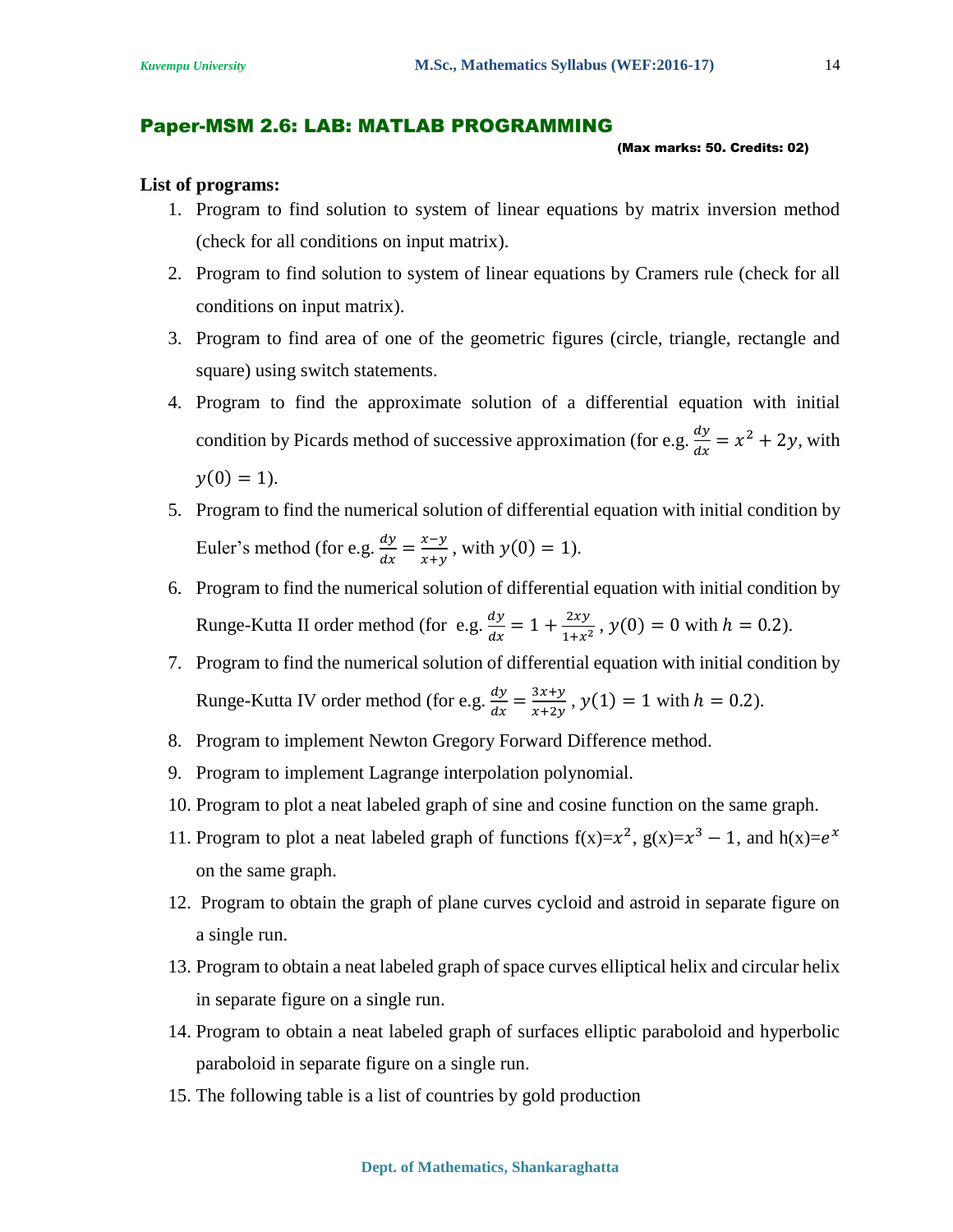#### Paper-MSM 2.6: LAB: MATLAB PROGRAMMING

#### (Max marks: 50. Credits: 02)

#### **List of programs:**

- 1. Program to find solution to system of linear equations by matrix inversion method (check for all conditions on input matrix).
- 2. Program to find solution to system of linear equations by Cramers rule (check for all conditions on input matrix).
- 3. Program to find area of one of the geometric figures (circle, triangle, rectangle and square) using switch statements.
- 4. Program to find the approximate solution of a differential equation with initial condition by Picards method of successive approximation (for e.g.  $\frac{dy}{dx} = x^2 + 2y$ , with  $y(0) = 1$ .
- 5. Program to find the numerical solution of differential equation with initial condition by Euler's method (for e.g.  $\frac{dy}{dx} = \frac{x-y}{x+y}$  $\frac{x-y}{x+y}$ , with  $y(0) = 1$ ).
- 6. Program to find the numerical solution of differential equation with initial condition by Runge-Kutta II order method (for e.g.  $\frac{dy}{dx} = 1 + \frac{2xy}{1+x^2}$  $\frac{2xy}{1+x^2}$ ,  $y(0) = 0$  with  $h = 0.2$ ).
- 7. Program to find the numerical solution of differential equation with initial condition by Runge-Kutta IV order method (for e.g.  $\frac{dy}{dx} = \frac{3x+y}{x+2y}$  $\frac{3x+y}{x+2y}$ ,  $y(1) = 1$  with  $h = 0.2$ ).
- 8. Program to implement Newton Gregory Forward Difference method.
- 9. Program to implement Lagrange interpolation polynomial.
- 10. Program to plot a neat labeled graph of sine and cosine function on the same graph.
- 11. Program to plot a neat labeled graph of functions  $f(x)=x^2$ ,  $g(x)=x^3-1$ , and  $h(x)=e^x$ on the same graph.
- 12. Program to obtain the graph of plane curves cycloid and astroid in separate figure on a single run.
- 13. Program to obtain a neat labeled graph of space curves elliptical helix and circular helix in separate figure on a single run.
- 14. Program to obtain a neat labeled graph of surfaces elliptic paraboloid and hyperbolic paraboloid in separate figure on a single run.
- 15. The following table is a list of countries by gold production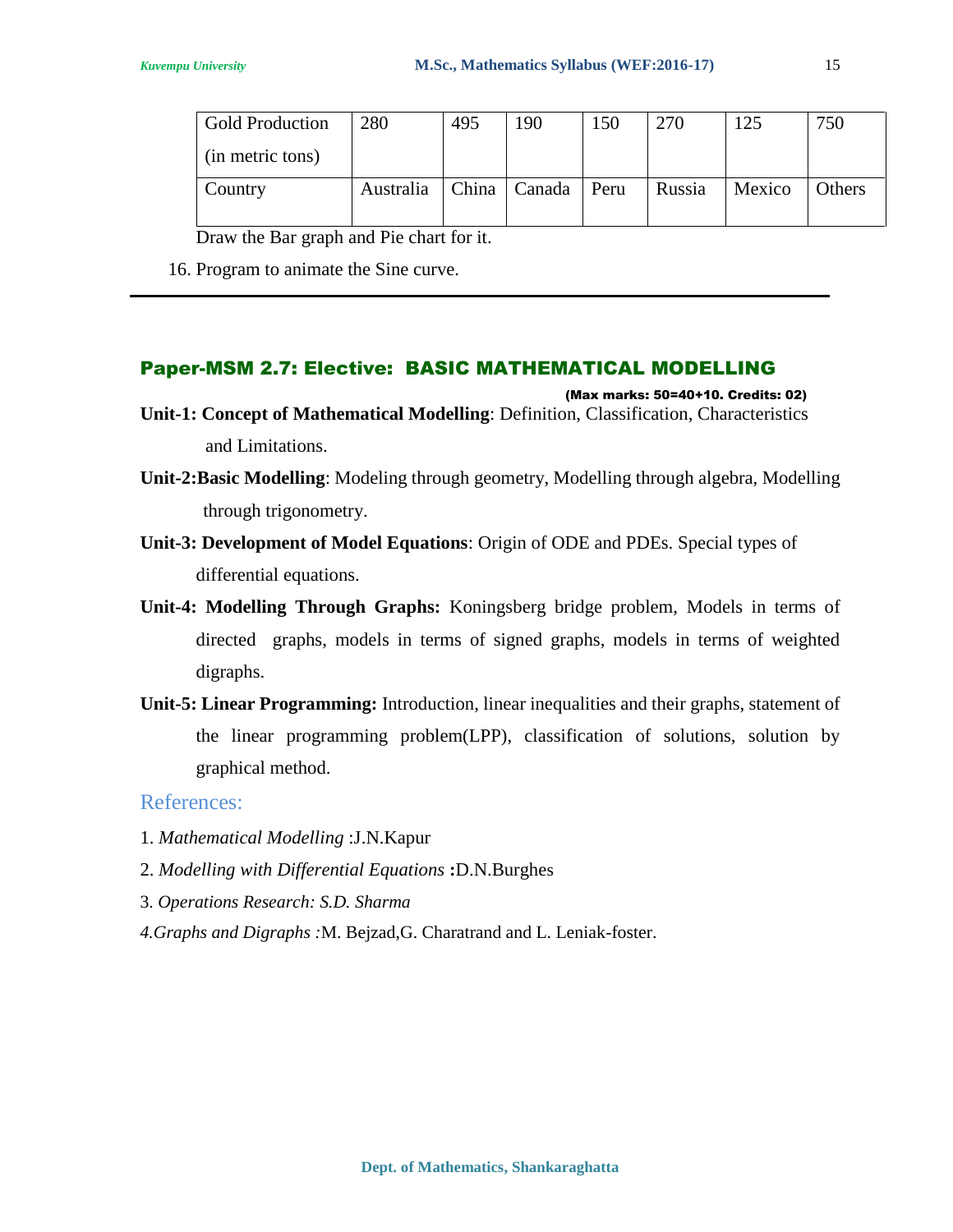| Gold Production  | 280       | 495 | 190            | 150  | 270    | 125    | 750           |
|------------------|-----------|-----|----------------|------|--------|--------|---------------|
| (in metric tons) |           |     |                |      |        |        |               |
| Country          | Australia |     | China   Canada | Peru | Russia | Mexico | <b>Others</b> |

Draw the Bar graph and Pie chart for it.

16. Program to animate the Sine curve.

### Paper-MSM 2.7: Elective: BASIC MATHEMATICAL MODELLING

- (Max marks: 50=40+10. Credits: 02) **Unit-1: Concept of Mathematical Modelling**: Definition, Classification, Characteristics and Limitations.
- **Unit-2:Basic Modelling**: Modeling through geometry, Modelling through algebra, Modelling through trigonometry.
- **Unit-3: Development of Model Equations**: Origin of ODE and PDEs. Special types of differential equations.
- **Unit-4: Modelling Through Graphs:** Koningsberg bridge problem, Models in terms of directed graphs, models in terms of signed graphs, models in terms of weighted digraphs.
- **Unit-5: Linear Programming:** Introduction, linear inequalities and their graphs, statement of the linear programming problem(LPP), classification of solutions, solution by graphical method.

- 1. *Mathematical Modelling* :J.N.Kapur
- 2. *Modelling with Differential Equations* **:**D.N.Burghes
- 3. *Operations Research: S.D. Sharma*
- *4.Graphs and Digraphs :*M. Bejzad,G. Charatrand and L. Leniak-foster.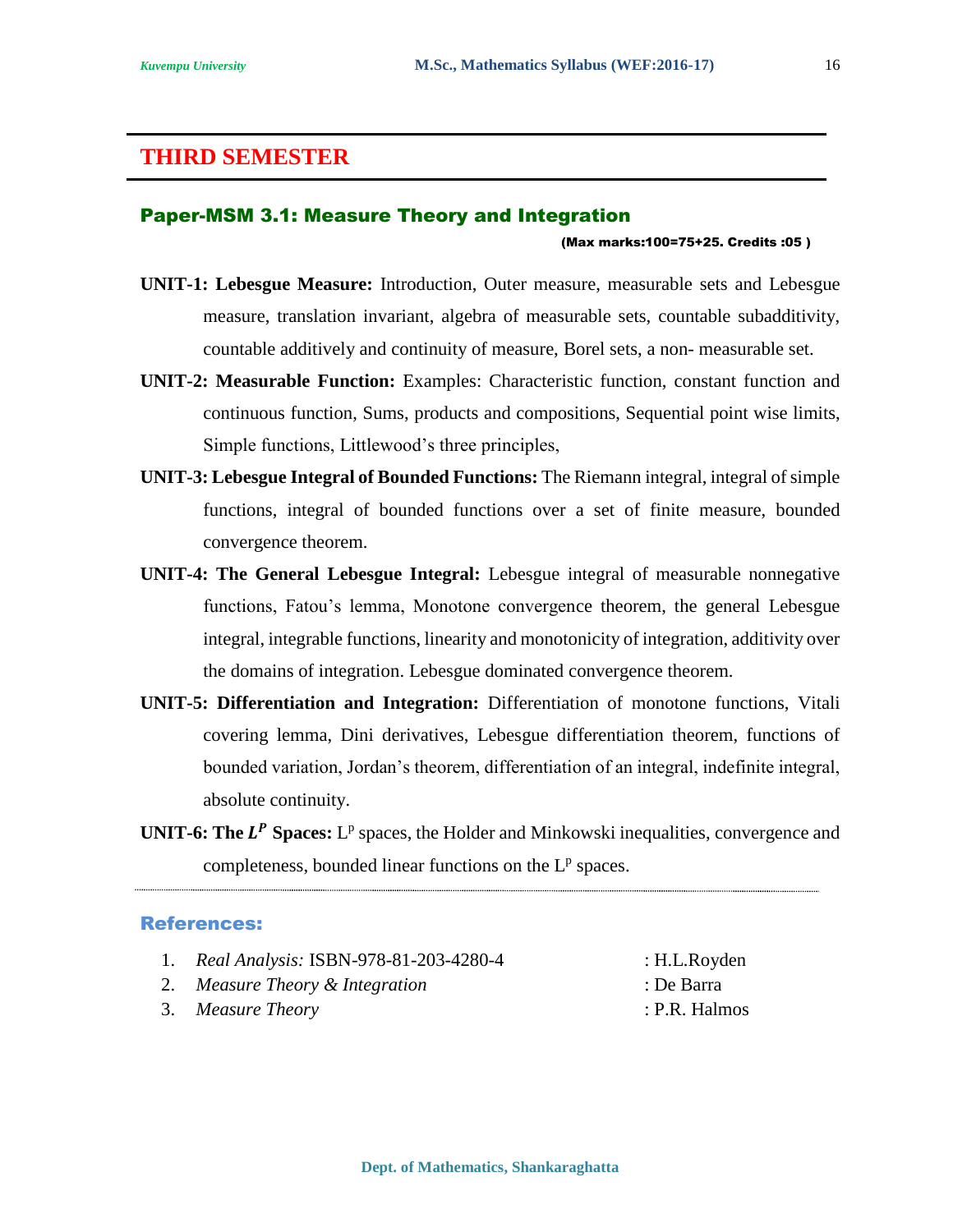### **THIRD SEMESTER**

#### Paper-MSM 3.1: Measure Theory and Integration

#### (Max marks:100=75+25. Credits :05 )

- **UNIT-1: Lebesgue Measure:** Introduction, Outer measure, measurable sets and Lebesgue measure, translation invariant, algebra of measurable sets, countable subadditivity, countable additively and continuity of measure, Borel sets, a non- measurable set.
- **UNIT-2: Measurable Function:** Examples: Characteristic function, constant function and continuous function, Sums, products and compositions, Sequential point wise limits, Simple functions, Littlewood's three principles,
- **UNIT-3: Lebesgue Integral of Bounded Functions:** The Riemann integral, integral of simple functions, integral of bounded functions over a set of finite measure, bounded convergence theorem.
- **UNIT-4: The General Lebesgue Integral:** Lebesgue integral of measurable nonnegative functions, Fatou's lemma, Monotone convergence theorem, the general Lebesgue integral, integrable functions, linearity and monotonicity of integration, additivity over the domains of integration. Lebesgue dominated convergence theorem.
- **UNIT-5: Differentiation and Integration:** Differentiation of monotone functions, Vitali covering lemma, Dini derivatives, Lebesgue differentiation theorem, functions of bounded variation, Jordan's theorem, differentiation of an integral, indefinite integral, absolute continuity.
- **UNIT-6: The**  $L^P$  **Spaces:**  $L^p$  spaces, the Holder and Minkowski inequalities, convergence and completeness, bounded linear functions on the  $L^p$  spaces.

- 1. *Real Analysis:* ISBN-978-81-203-4280-4 : H.L.Royden
- 2. *Measure Theory & Integration* : De Barra
- 3. *Measure Theory* : P.R. Halmos
-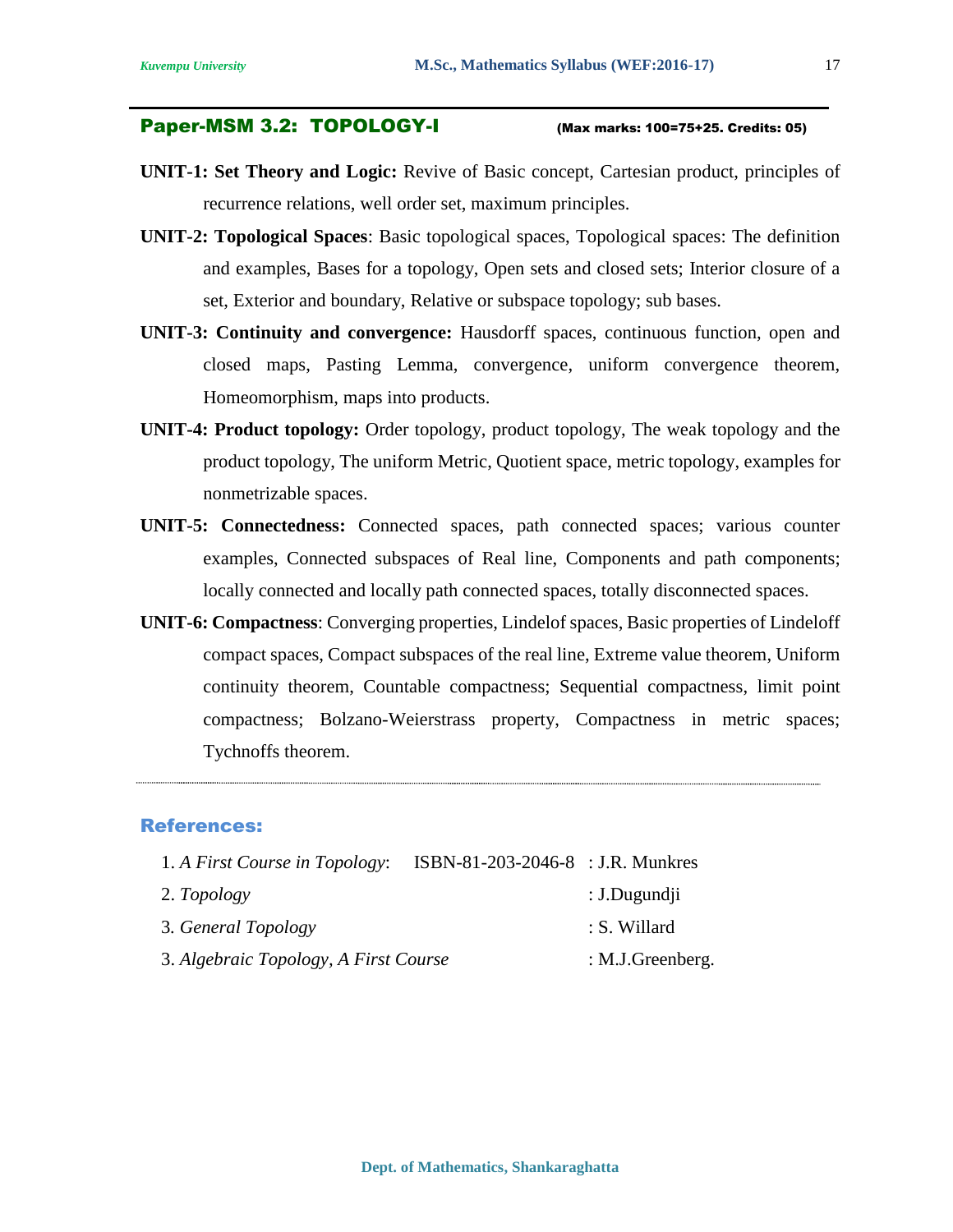#### Paper-MSM 3.2: TOPOLOGY-I (Max marks: 100=75+25. Credits: 05)

- **UNIT-1: Set Theory and Logic:** Revive of Basic concept, Cartesian product, principles of recurrence relations, well order set, maximum principles.
- **UNIT-2: Topological Spaces**: Basic topological spaces, Topological spaces: The definition and examples, Bases for a topology, Open sets and closed sets; Interior closure of a set, Exterior and boundary, Relative or subspace topology; sub bases.
- **UNIT-3: Continuity and convergence:** Hausdorff spaces, continuous function, open and closed maps, Pasting Lemma, convergence, uniform convergence theorem, Homeomorphism, maps into products.
- **UNIT-4: Product topology:** Order topology, product topology, The weak topology and the product topology, The uniform Metric, Quotient space, metric topology, examples for nonmetrizable spaces.
- **UNIT-5: Connectedness:** Connected spaces, path connected spaces; various counter examples, Connected subspaces of Real line, Components and path components; locally connected and locally path connected spaces, totally disconnected spaces.
- **UNIT-6: Compactness**: Converging properties, Lindelof spaces, Basic properties of Lindeloff compact spaces, Compact subspaces of the real line, Extreme value theorem, Uniform continuity theorem, Countable compactness; Sequential compactness, limit point compactness; Bolzano-Weierstrass property, Compactness in metric spaces; Tychnoffs theorem.

#### References:

| 1. A First Course in Topology:        | ISBN-81-203-2046-8 : J.R. Munkres |                  |
|---------------------------------------|-----------------------------------|------------------|
| 2. Topology                           |                                   | : J.Dugundji     |
| 3. General Topology                   |                                   | : S. Willard     |
| 3. Algebraic Topology, A First Course |                                   | : M.J.Greenberg. |

17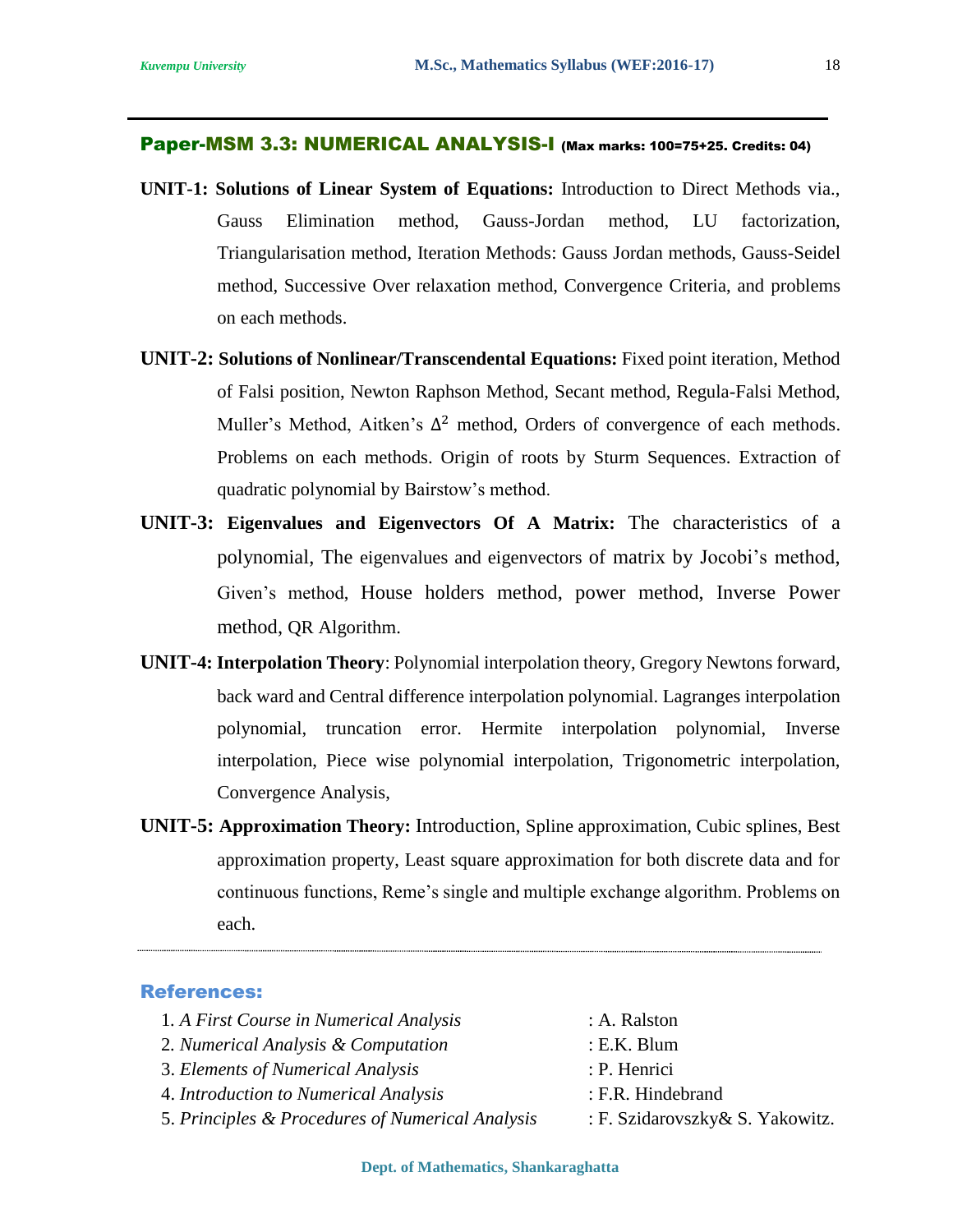#### Paper-MSM 3.3: NUMERICAL ANALYSIS-I (Max marks: 100=75+25. Credits: 04)

- **UNIT-1: Solutions of Linear System of Equations:** Introduction to Direct Methods via., Gauss Elimination method, Gauss-Jordan method, LU factorization, Triangularisation method, Iteration Methods: Gauss Jordan methods, Gauss-Seidel method, Successive Over relaxation method, Convergence Criteria, and problems on each methods.
- **UNIT-2: Solutions of Nonlinear/Transcendental Equations:** Fixed point iteration, Method of Falsi position, Newton Raphson Method, Secant method, Regula-Falsi Method, Muller's Method, Aitken's  $\Delta^2$  method, Orders of convergence of each methods. Problems on each methods. Origin of roots by Sturm Sequences. Extraction of quadratic polynomial by Bairstow's method.
- **UNIT-3: Eigenvalues and Eigenvectors Of A Matrix:** The characteristics of a polynomial, The eigenvalues and eigenvectors of matrix by Jocobi's method, Given's method, House holders method, power method, Inverse Power method, QR Algorithm.
- **UNIT-4: Interpolation Theory**: Polynomial interpolation theory, Gregory Newtons forward, back ward and Central difference interpolation polynomial. Lagranges interpolation polynomial, truncation error. Hermite interpolation polynomial, Inverse interpolation, Piece wise polynomial interpolation, Trigonometric interpolation, Convergence Analysis,
- **UNIT-5: Approximation Theory:** Introduction, Spline approximation, Cubic splines, Best approximation property, Least square approximation for both discrete data and for continuous functions, Reme's single and multiple exchange algorithm. Problems on each.

| 1. A First Course in Numerical Analysis          | : A. Ralston                    |
|--------------------------------------------------|---------------------------------|
| 2. Numerical Analysis & Computation              | $: E.K.$ Blum                   |
| 3. Elements of Numerical Analysis                | : P. Henrici                    |
| 4. Introduction to Numerical Analysis            | : F.R. Hindebrand               |
| 5. Principles & Procedures of Numerical Analysis | : F. Szidarovszky& S. Yakowitz. |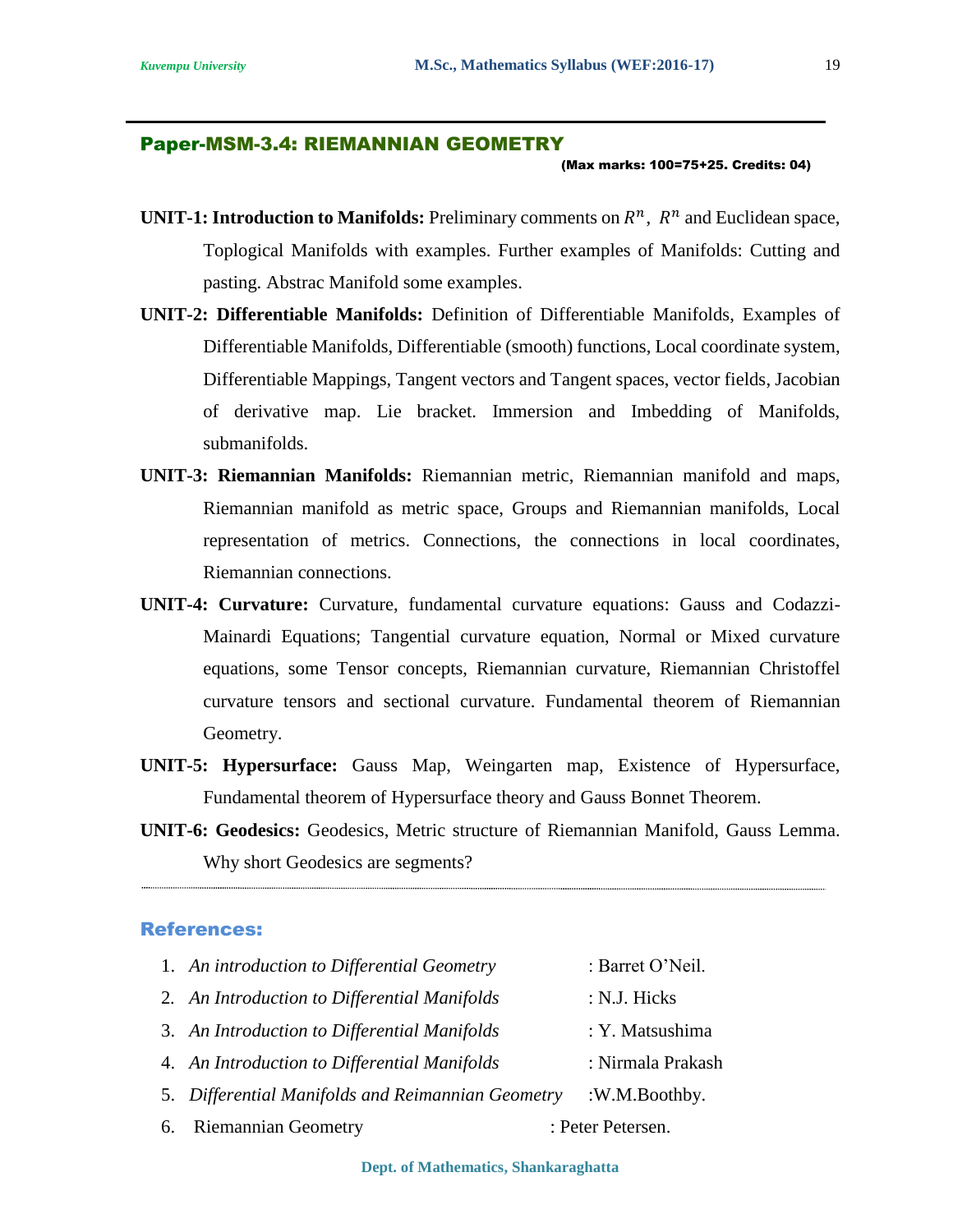#### Paper-MSM-3.4: RIEMANNIAN GEOMETRY

(Max marks: 100=75+25. Credits: 04)

- **UNIT-1: Introduction to Manifolds:** Preliminary comments on  $R^n$ ,  $R^n$  and Euclidean space, Toplogical Manifolds with examples. Further examples of Manifolds: Cutting and pasting. Abstrac Manifold some examples.
- **UNIT-2: Differentiable Manifolds:** Definition of Differentiable Manifolds, Examples of Differentiable Manifolds, Differentiable (smooth) functions, Local coordinate system, Differentiable Mappings, Tangent vectors and Tangent spaces, vector fields, Jacobian of derivative map. Lie bracket. Immersion and Imbedding of Manifolds, submanifolds.
- **UNIT-3: Riemannian Manifolds:** Riemannian metric, Riemannian manifold and maps, Riemannian manifold as metric space, Groups and Riemannian manifolds, Local representation of metrics. Connections, the connections in local coordinates, Riemannian connections.
- **UNIT-4: Curvature:** Curvature, fundamental curvature equations: Gauss and Codazzi-Mainardi Equations; Tangential curvature equation, Normal or Mixed curvature equations, some Tensor concepts, Riemannian curvature, Riemannian Christoffel curvature tensors and sectional curvature. Fundamental theorem of Riemannian Geometry.
- **UNIT-5: Hypersurface:** Gauss Map, Weingarten map, Existence of Hypersurface, Fundamental theorem of Hypersurface theory and Gauss Bonnet Theorem.
- **UNIT-6: Geodesics:** Geodesics, Metric structure of Riemannian Manifold, Gauss Lemma. Why short Geodesics are segments?

#### References:

| 1. An introduction to Differential Geometry       | : Barret O'Neil.  |
|---------------------------------------------------|-------------------|
| 2. An Introduction to Differential Manifolds      | : N.J. Hicks      |
| 3. An Introduction to Differential Manifolds      | : Y. Matsushima   |
| 4. An Introduction to Differential Manifolds      | : Nirmala Prakash |
| 5. Differential Manifolds and Reimannian Geometry | :W.M.Boothby.     |
| 6. Riemannian Geometry                            | : Peter Petersen. |

19

**Dept. of Mathematics, Shankaraghatta**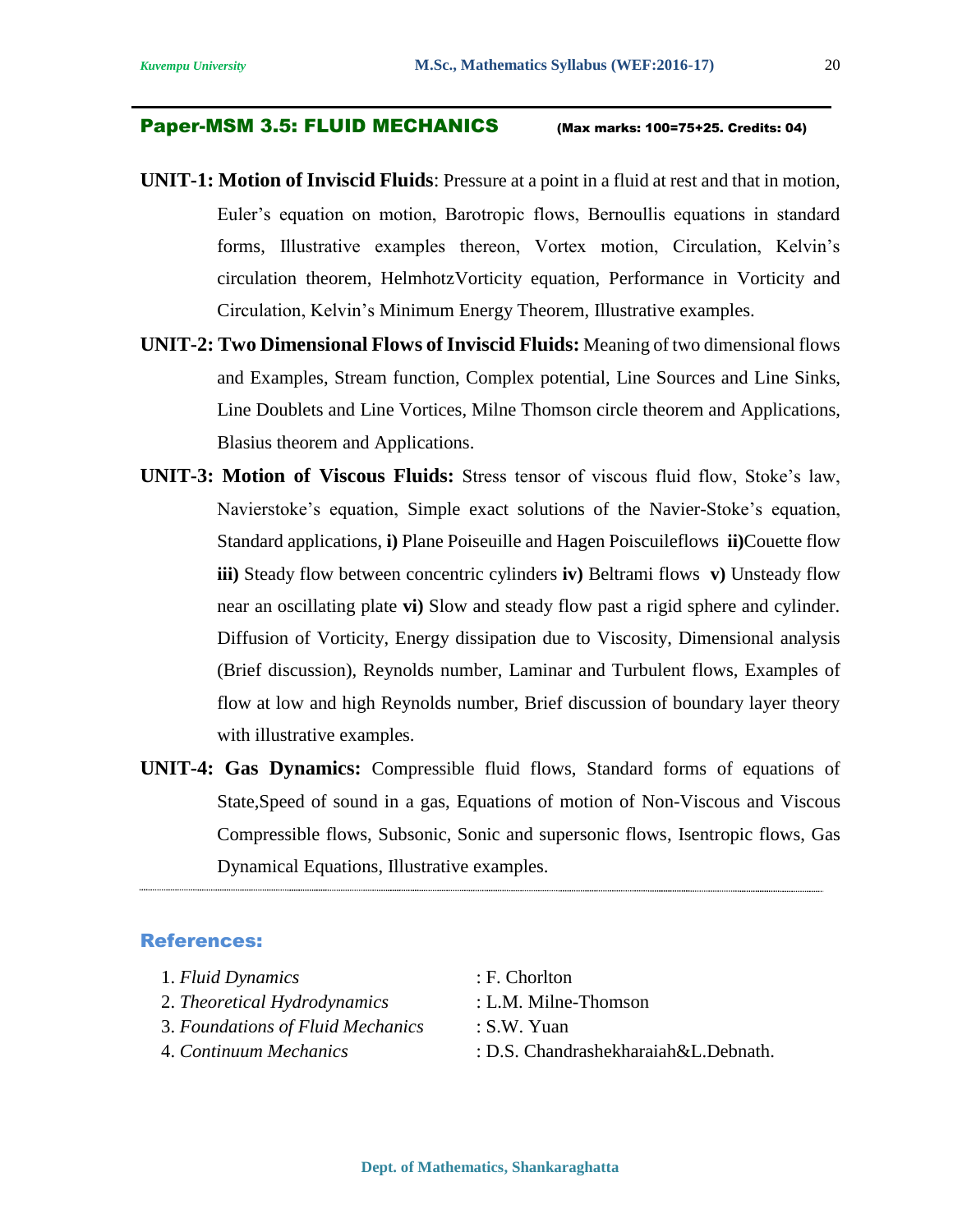#### Paper-MSM 3.5: FLUID MECHANICS (Max marks: 100=75+25. Credits: 04)

- **UNIT-1: Motion of Inviscid Fluids**: Pressure at a point in a fluid at rest and that in motion, Euler's equation on motion, Barotropic flows, Bernoullis equations in standard forms, Illustrative examples thereon, Vortex motion, Circulation, Kelvin's circulation theorem, HelmhotzVorticity equation, Performance in Vorticity and Circulation, Kelvin's Minimum Energy Theorem, Illustrative examples.
- **UNIT-2: Two Dimensional Flows of Inviscid Fluids:** Meaning of two dimensional flows and Examples, Stream function, Complex potential, Line Sources and Line Sinks, Line Doublets and Line Vortices, Milne Thomson circle theorem and Applications, Blasius theorem and Applications.
- **UNIT-3: Motion of Viscous Fluids:** Stress tensor of viscous fluid flow, Stoke's law, Navierstoke's equation, Simple exact solutions of the Navier-Stoke's equation, Standard applications, **i)** Plane Poiseuille and Hagen Poiscuileflows **ii)**Couette flow **iii)** Steady flow between concentric cylinders **iv)** Beltrami flows **v)** Unsteady flow near an oscillating plate **vi)** Slow and steady flow past a rigid sphere and cylinder. Diffusion of Vorticity, Energy dissipation due to Viscosity, Dimensional analysis (Brief discussion), Reynolds number, Laminar and Turbulent flows, Examples of flow at low and high Reynolds number, Brief discussion of boundary layer theory with illustrative examples.
- **UNIT-4: Gas Dynamics:** Compressible fluid flows, Standard forms of equations of State,Speed of sound in a gas, Equations of motion of Non-Viscous and Viscous Compressible flows, Subsonic, Sonic and supersonic flows, Isentropic flows, Gas Dynamical Equations, Illustrative examples.

- 1. *Fluid Dynamics* : F. Chorlton
- 2. *Theoretical Hydrodynamics* : L.M. Milne-Thomson
- 3. *Foundations of Fluid Mechanics* : S.W. Yuan
- 
- 
- 4. *Continuum Mechanics* : D.S. Chandrashekharaiah&L.Debnath.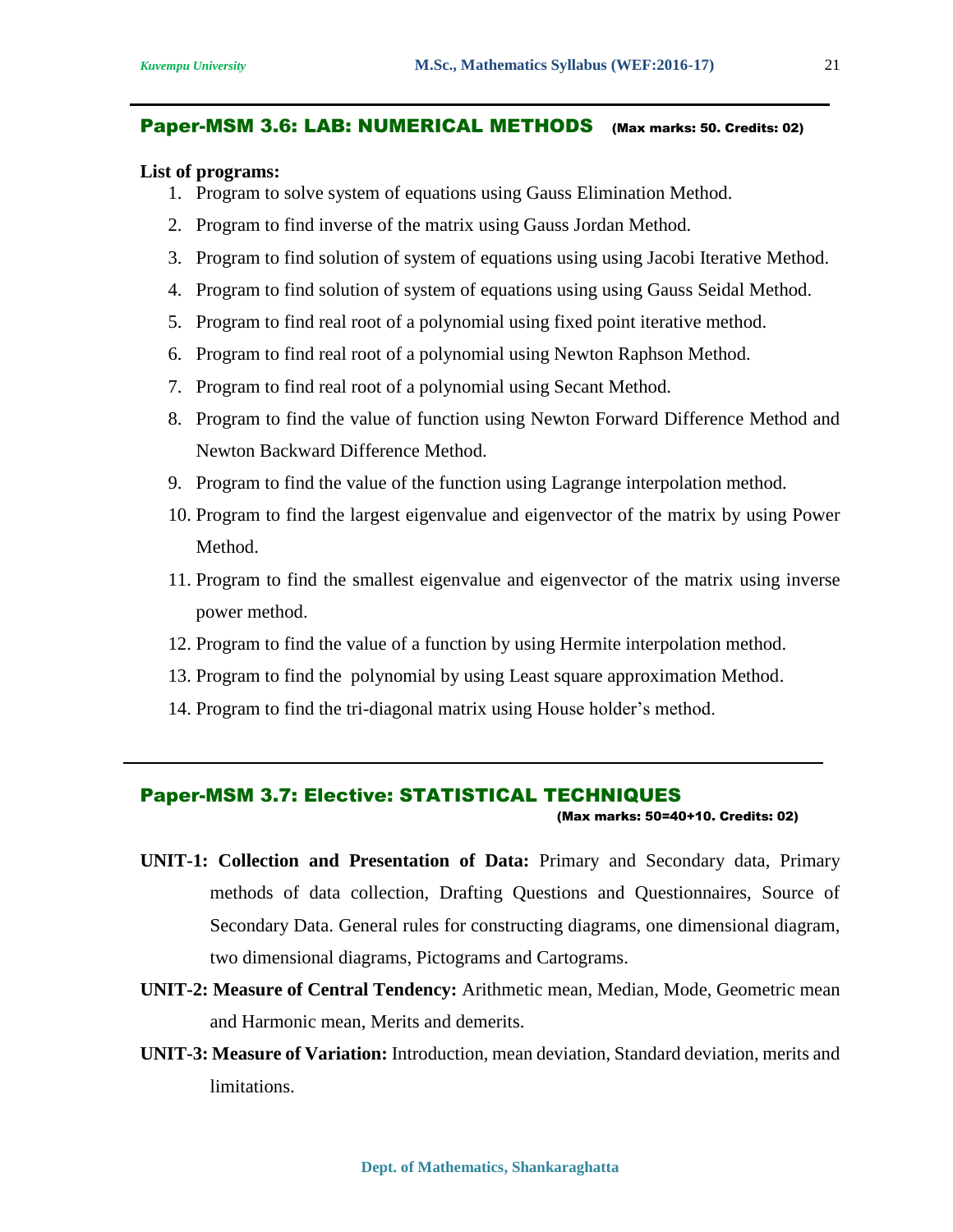#### Paper-MSM 3.6: LAB: NUMERICAL METHODS (Max marks: 50. Credits: 02)

#### **List of programs:**

- 1. Program to solve system of equations using Gauss Elimination Method.
- 2. Program to find inverse of the matrix using Gauss Jordan Method.
- 3. Program to find solution of system of equations using using Jacobi Iterative Method.
- 4. Program to find solution of system of equations using using Gauss Seidal Method.
- 5. Program to find real root of a polynomial using fixed point iterative method.
- 6. Program to find real root of a polynomial using Newton Raphson Method.
- 7. Program to find real root of a polynomial using Secant Method.
- 8. Program to find the value of function using Newton Forward Difference Method and Newton Backward Difference Method.
- 9. Program to find the value of the function using Lagrange interpolation method.
- 10. Program to find the largest eigenvalue and eigenvector of the matrix by using Power Method.
- 11. Program to find the smallest eigenvalue and eigenvector of the matrix using inverse power method.
- 12. Program to find the value of a function by using Hermite interpolation method.
- 13. Program to find the polynomial by using Least square approximation Method.
- 14. Program to find the tri-diagonal matrix using House holder's method.

#### Paper-MSM 3.7: Elective: STATISTICAL TECHNIQUES

(Max marks: 50=40+10. Credits: 02)

- **UNIT-1: Collection and Presentation of Data:** Primary and Secondary data, Primary methods of data collection, Drafting Questions and Questionnaires, Source of Secondary Data. General rules for constructing diagrams, one dimensional diagram, two dimensional diagrams, Pictograms and Cartograms.
- **UNIT-2: Measure of Central Tendency:** Arithmetic mean, Median, Mode, Geometric mean and Harmonic mean, Merits and demerits.
- **UNIT-3: Measure of Variation:** Introduction, mean deviation, Standard deviation, merits and limitations.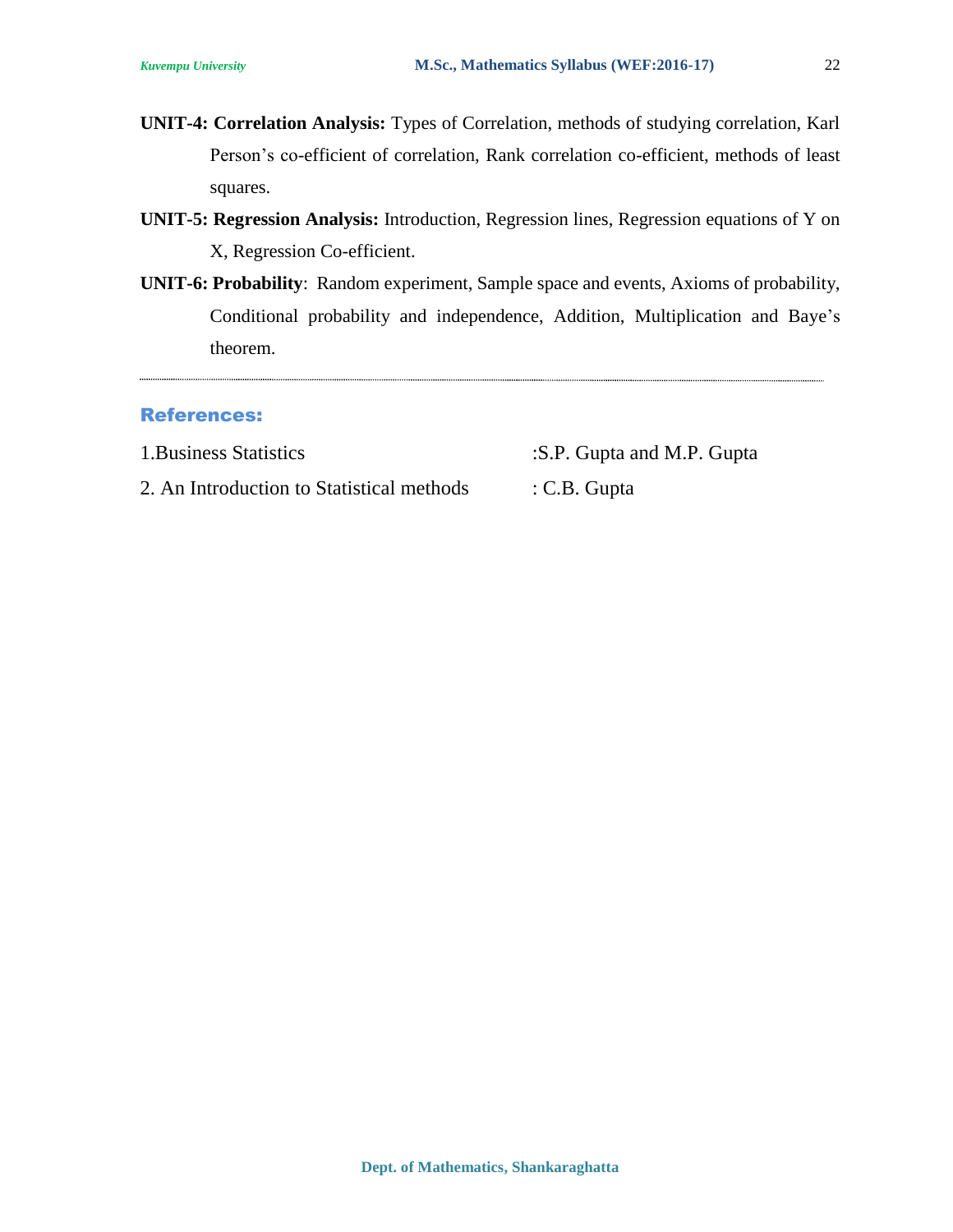- **UNIT-4: Correlation Analysis:** Types of Correlation, methods of studying correlation, Karl Person's co-efficient of correlation, Rank correlation co-efficient, methods of least squares.
- **UNIT-5: Regression Analysis:** Introduction, Regression lines, Regression equations of Y on X, Regression Co-efficient.
- **UNIT-6: Probability**: Random experiment, Sample space and events, Axioms of probability, Conditional probability and independence, Addition, Multiplication and Baye's theorem.

#### References:

1. Business Statistics :S.P. Gupta and M.P. Gupta

2. An Introduction to Statistical methods : C.B. Gupta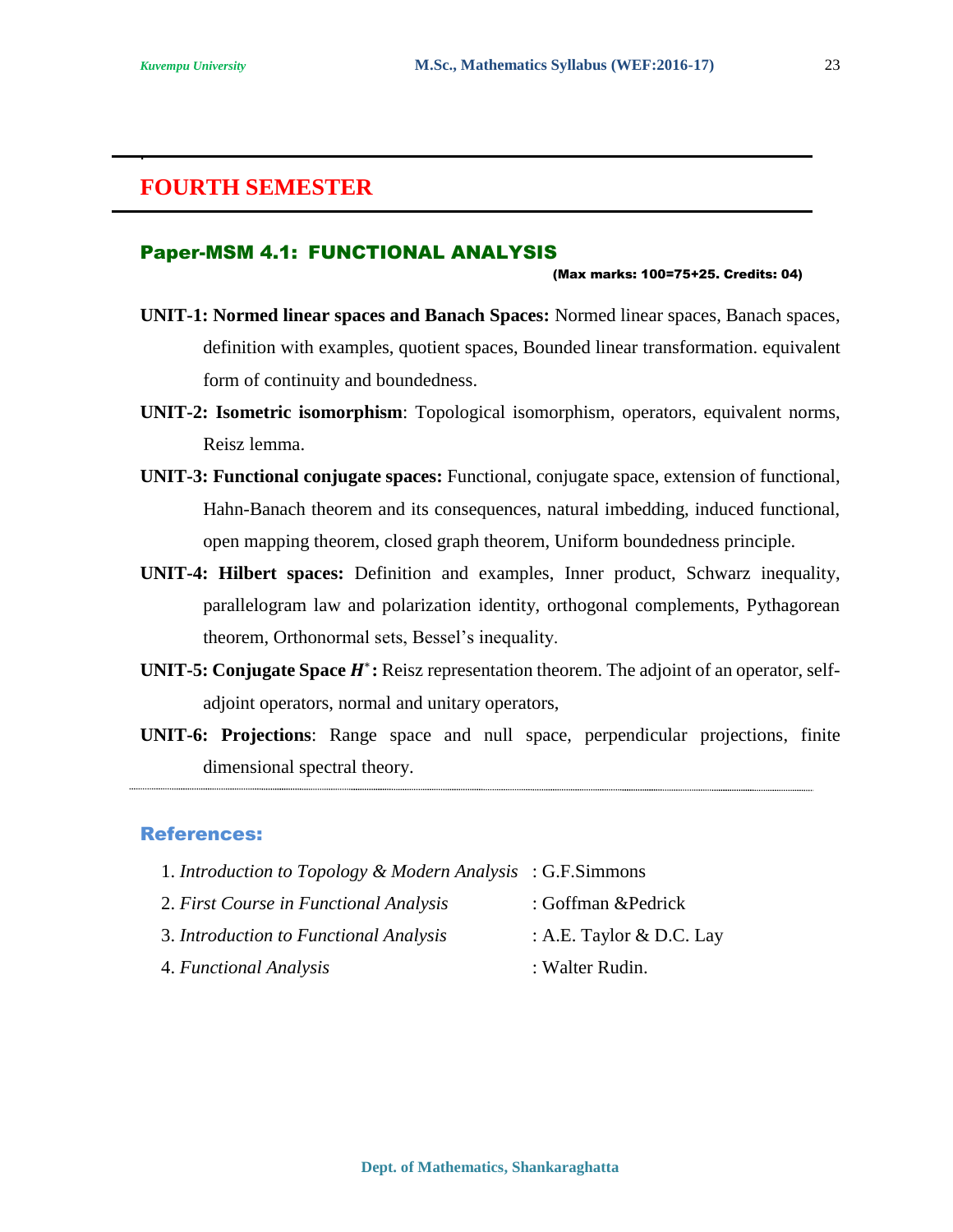.

### **FOURTH SEMESTER**

#### Paper-MSM 4.1: FUNCTIONAL ANALYSIS

#### (Max marks: 100=75+25. Credits: 04)

- **UNIT-1: Normed linear spaces and Banach Spaces:** Normed linear spaces, Banach spaces, definition with examples, quotient spaces, Bounded linear transformation. equivalent form of continuity and boundedness.
- **UNIT-2: Isometric isomorphism**: Topological isomorphism, operators, equivalent norms, Reisz lemma.
- **UNIT-3: Functional conjugate spaces:** Functional, conjugate space, extension of functional, Hahn-Banach theorem and its consequences, natural imbedding, induced functional, open mapping theorem, closed graph theorem, Uniform boundedness principle.
- **UNIT-4: Hilbert spaces:** Definition and examples, Inner product, Schwarz inequality, parallelogram law and polarization identity, orthogonal complements, Pythagorean theorem, Orthonormal sets, Bessel's inequality.
- **UNIT-5: Conjugate Space**  $H^*$ **:** Reisz representation theorem. The adjoint of an operator, selfadjoint operators, normal and unitary operators,
- **UNIT-6: Projections**: Range space and null space, perpendicular projections, finite dimensional spectral theory.

#### References:

- 1. *Introduction to Topology & Modern Analysis* : G.F.Simmons
- 2. *First Course in Functional Analysis* : Goffman &Pedrick
	-
- 3. *Introduction to Functional Analysis* : A.E. Taylor & D.C. Lay
	-
- 4. *Functional Analysis* : Walter Rudin.
	-

23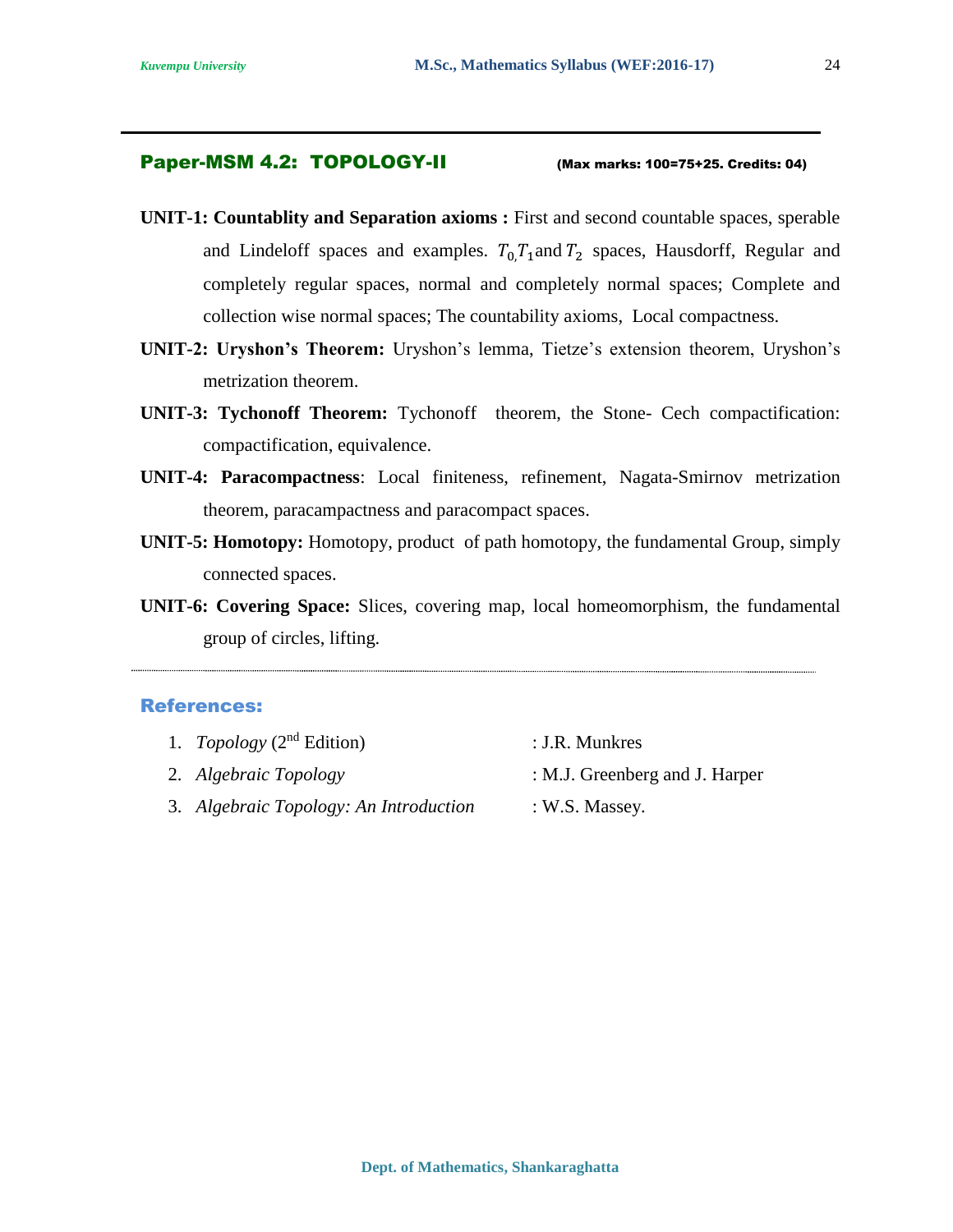#### Paper-MSM 4.2: TOPOLOGY-II (Max marks: 100=75+25. Credits: 04)

- **UNIT-1: Countablity and Separation axioms :** First and second countable spaces, sperable and Lindeloff spaces and examples.  $T_0, T_1$  and  $T_2$  spaces, Hausdorff, Regular and completely regular spaces, normal and completely normal spaces; Complete and collection wise normal spaces; The countability axioms, Local compactness.
- **UNIT-2: Uryshon's Theorem:** Uryshon's lemma, Tietze's extension theorem, Uryshon's metrization theorem.
- **UNIT-3: Tychonoff Theorem:** Tychonoff theorem, the Stone- Cech compactification: compactification, equivalence.
- **UNIT-4: Paracompactness**: Local finiteness, refinement, Nagata-Smirnov metrization theorem, paracampactness and paracompact spaces.
- **UNIT-5: Homotopy:** Homotopy, product of path homotopy, the fundamental Group, simply connected spaces.
- **UNIT-6: Covering Space:** Slices, covering map, local homeomorphism, the fundamental group of circles, lifting.

- 1. *Topology* (2<sup>nd</sup> Edition) : J.R. Munkres
- 2. *Algebraic Topology* : M.J. Greenberg and J. Harper
- -
- 3. *Algebraic Topology: An Introduction* : W.S. Massey.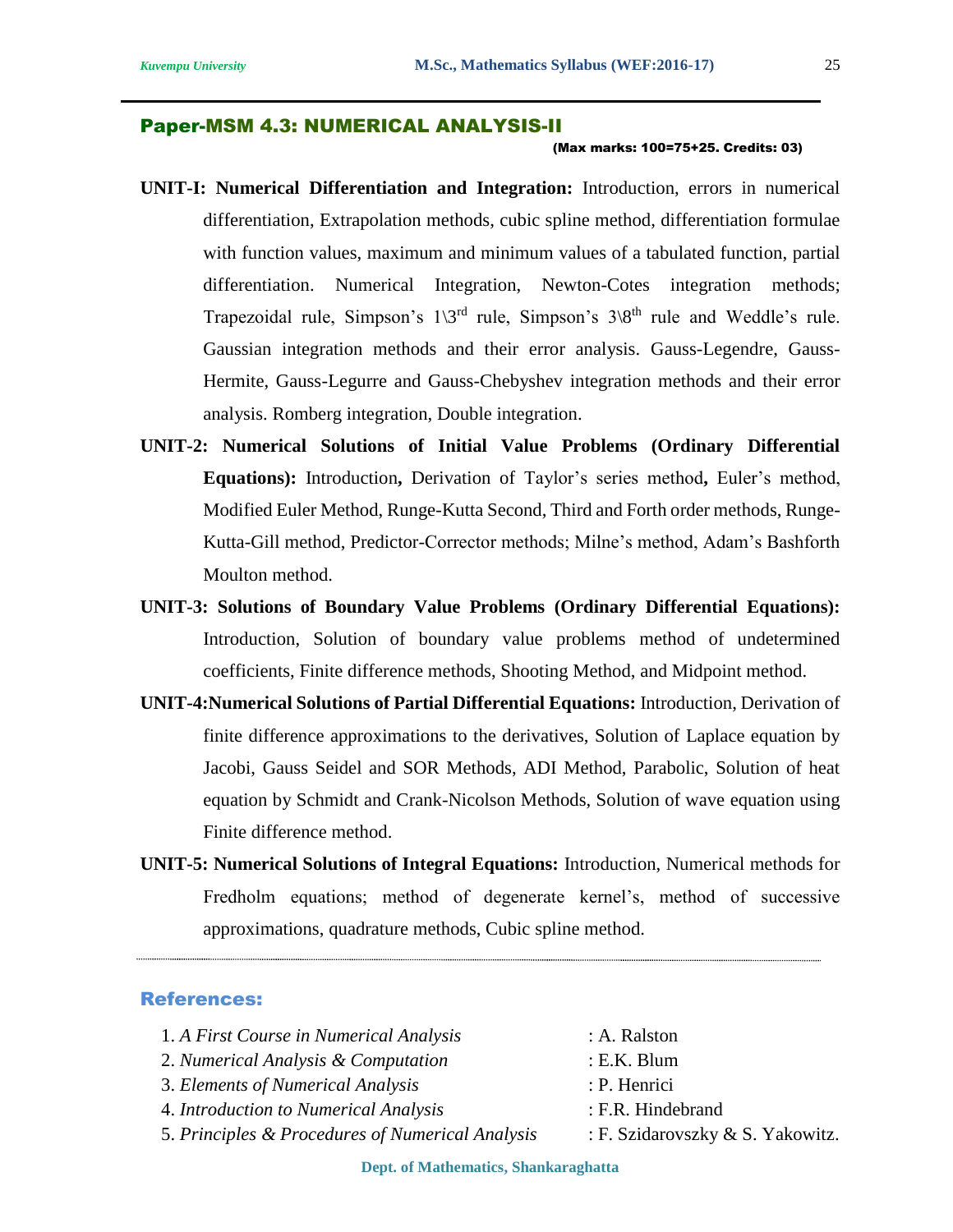#### Paper-MSM 4.3: NUMERICAL ANALYSIS-II

#### (Max marks: 100=75+25. Credits: 03)

- **UNIT-I: Numerical Differentiation and Integration:** Introduction, errors in numerical differentiation, Extrapolation methods, cubic spline method, differentiation formulae with function values, maximum and minimum values of a tabulated function, partial differentiation. Numerical Integration, Newton-Cotes integration methods; Trapezoidal rule, Simpson's  $1\frac{3^{rd}}{r}$  rule, Simpson's  $3\frac{8^{th}}{r}$  rule and Weddle's rule. Gaussian integration methods and their error analysis. Gauss-Legendre, Gauss-Hermite, Gauss-Legurre and Gauss-Chebyshev integration methods and their error analysis. Romberg integration, Double integration.
- **UNIT-2: Numerical Solutions of Initial Value Problems (Ordinary Differential Equations):** Introduction**,** Derivation of Taylor's series method**,** Euler's method, Modified Euler Method, Runge-Kutta Second, Third and Forth order methods, Runge-Kutta-Gill method, Predictor-Corrector methods; Milne's method, Adam's Bashforth Moulton method.
- **UNIT-3: Solutions of Boundary Value Problems (Ordinary Differential Equations):**  Introduction, Solution of boundary value problems method of undetermined coefficients, Finite difference methods, Shooting Method, and Midpoint method.
- **UNIT-4:Numerical Solutions of Partial Differential Equations:** Introduction, Derivation of finite difference approximations to the derivatives, Solution of Laplace equation by Jacobi, Gauss Seidel and SOR Methods, ADI Method, Parabolic, Solution of heat equation by Schmidt and Crank-Nicolson Methods, Solution of wave equation using Finite difference method.
- **UNIT-5: Numerical Solutions of Integral Equations:** Introduction, Numerical methods for Fredholm equations; method of degenerate kernel's, method of successive approximations, quadrature methods, Cubic spline method.

#### References:

| 1. A First Course in Numerical Analysis          | : A. Ralston                     |
|--------------------------------------------------|----------------------------------|
| 2. Numerical Analysis & Computation              | $: E.K.$ Blum                    |
| 3. Elements of Numerical Analysis                | : P. Henrici                     |
| 4. Introduction to Numerical Analysis            | : F.R. Hindebrand                |
| 5. Principles & Procedures of Numerical Analysis | : F. Szidarovszky & S. Yakowitz. |

25

**Dept. of Mathematics, Shankaraghatta**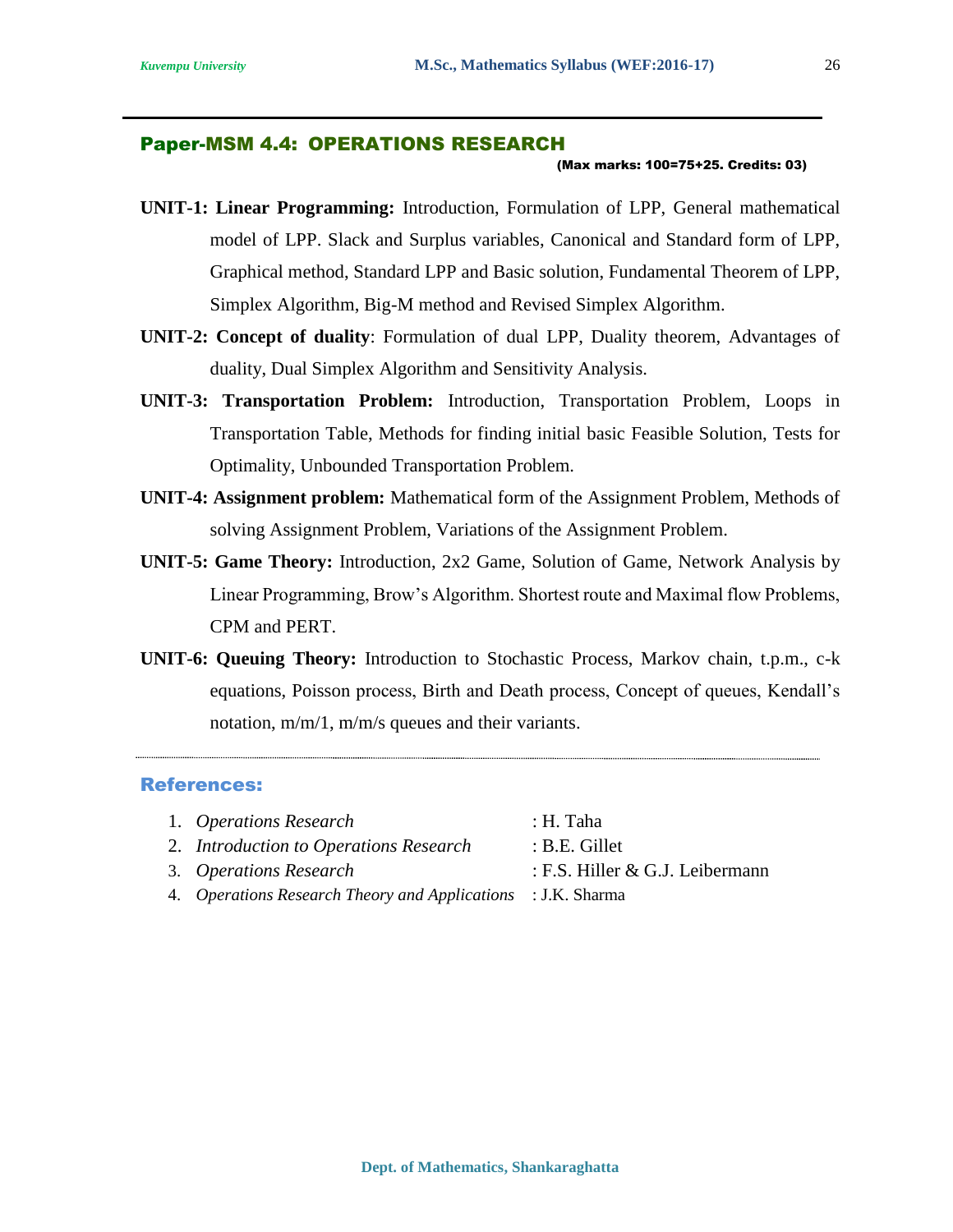#### Paper-MSM 4.4: OPERATIONS RESEARCH

#### (Max marks: 100=75+25. Credits: 03)

- **UNIT-1: Linear Programming:** Introduction, Formulation of LPP, General mathematical model of LPP. Slack and Surplus variables, Canonical and Standard form of LPP, Graphical method, Standard LPP and Basic solution, Fundamental Theorem of LPP, Simplex Algorithm, Big-M method and Revised Simplex Algorithm.
- **UNIT-2: Concept of duality**: Formulation of dual LPP, Duality theorem, Advantages of duality, Dual Simplex Algorithm and Sensitivity Analysis.
- **UNIT-3: Transportation Problem:** Introduction, Transportation Problem, Loops in Transportation Table, Methods for finding initial basic Feasible Solution, Tests for Optimality, Unbounded Transportation Problem.
- **UNIT-4: Assignment problem:** Mathematical form of the Assignment Problem, Methods of solving Assignment Problem, Variations of the Assignment Problem.
- **UNIT-5: Game Theory:** Introduction, 2x2 Game, Solution of Game, Network Analysis by Linear Programming, Brow's Algorithm. Shortest route and Maximal flow Problems, CPM and PERT.
- **UNIT-6: Queuing Theory:** Introduction to Stochastic Process, Markov chain, t.p.m., c-k equations, Poisson process, Birth and Death process, Concept of queues, Kendall's notation, m/m/1, m/m/s queues and their variants.

- 1. *Operations Research* : H. Taha 2. *Introduction to Operations Research* : B.E. Gillet 3. *Operations Research* : F.S. Hiller & G.J. Leibermann
- 4. *Operations Research Theory and Applications* : J.K. Sharma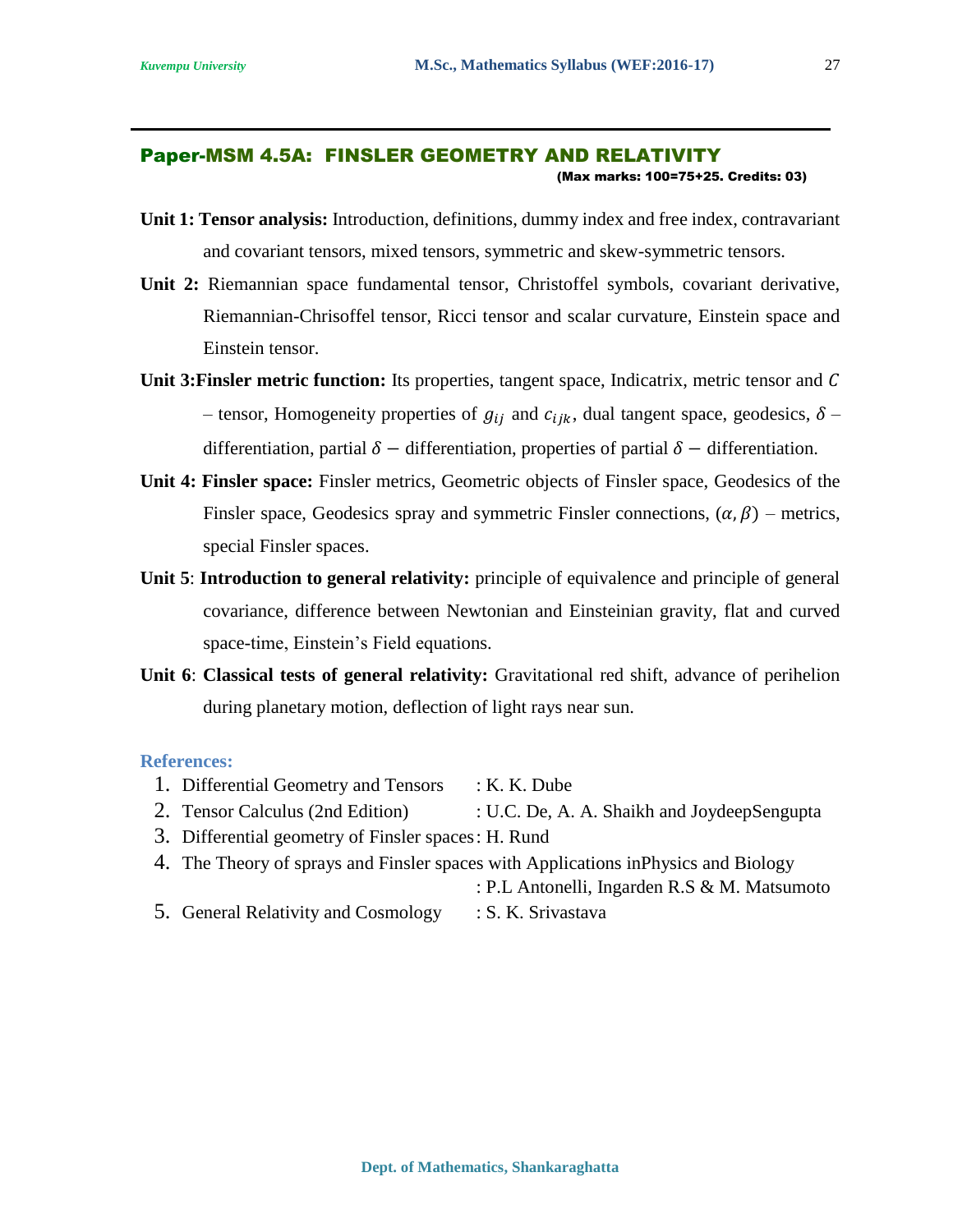#### Paper-MSM 4.5A: FINSLER GEOMETRY AND RELATIVITY

(Max marks: 100=75+25. Credits: 03)

- **Unit 1: Tensor analysis:** Introduction, definitions, dummy index and free index, contravariant and covariant tensors, mixed tensors, symmetric and skew-symmetric tensors.
- **Unit 2:** Riemannian space fundamental tensor, Christoffel symbols, covariant derivative, Riemannian-Chrisoffel tensor, Ricci tensor and scalar curvature, Einstein space and Einstein tensor.
- **Unit 3: Finsler metric function:** Its properties, tangent space, Indicatrix, metric tensor and C – tensor, Homogeneity properties of  $g_{ij}$  and  $c_{ijk}$ , dual tangent space, geodesics,  $\delta$  – differentiation, partial  $\delta$  – differentiation, properties of partial  $\delta$  – differentiation.
- **Unit 4: Finsler space:** Finsler metrics, Geometric objects of Finsler space, Geodesics of the Finsler space, Geodesics spray and symmetric Finsler connections,  $(\alpha, \beta)$  – metrics, special Finsler spaces.
- **Unit 5**: **Introduction to general relativity:** principle of equivalence and principle of general covariance, difference between Newtonian and Einsteinian gravity, flat and curved space-time, Einstein's Field equations.
- **Unit 6**: **Classical tests of general relativity:** Gravitational red shift, advance of perihelion during planetary motion, deflection of light rays near sun.

#### **References:**

- 1. Differential Geometry and Tensors : K. K. Dube
- 2. Tensor Calculus (2nd Edition) : U.C. De, A. A. Shaikh and JoydeepSengupta
- 3. Differential geometry of Finsler spaces: H. Rund
- 4. The Theory of sprays and Finsler spaces with Applications inPhysics and Biology

: P.L Antonelli, Ingarden R.S & M. Matsumoto

5. General Relativity and Cosmology : S. K. Srivastava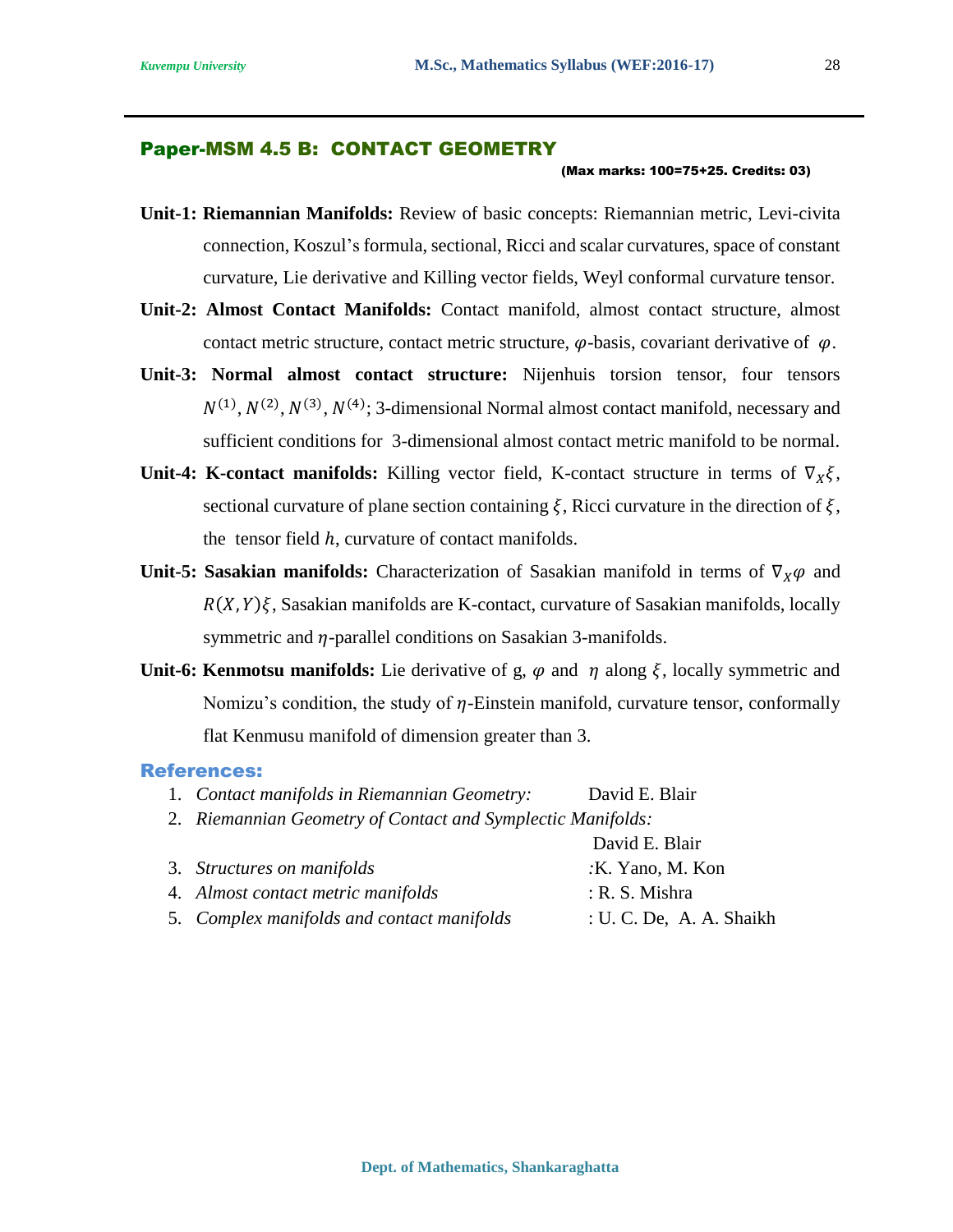#### Paper-MSM 4.5 B: CONTACT GEOMETRY

#### (Max marks: 100=75+25. Credits: 03)

- **Unit-1: Riemannian Manifolds:** Review of basic concepts: Riemannian metric, Levi-civita connection, Koszul's formula, sectional, Ricci and scalar curvatures, space of constant curvature, Lie derivative and Killing vector fields, Weyl conformal curvature tensor.
- **Unit-2: Almost Contact Manifolds:** Contact manifold, almost contact structure, almost contact metric structure, contact metric structure,  $\varphi$ -basis, covariant derivative of  $\varphi$ .
- **Unit-3: Normal almost contact structure:** Nijenhuis torsion tensor, four tensors  $N^{(1)}$ ,  $N^{(2)}$ ,  $N^{(3)}$ ,  $N^{(4)}$ ; 3-dimensional Normal almost contact manifold, necessary and sufficient conditions for 3-dimensional almost contact metric manifold to be normal.
- **Unit-4: K-contact manifolds:** Killing vector field, K-contact structure in terms of  $\nabla_X \xi$ , sectional curvature of plane section containing  $\xi$ , Ricci curvature in the direction of  $\xi$ , the tensor field  $h$ , curvature of contact manifolds.
- **Unit-5: Sasakian manifolds:** Characterization of Sasakian manifold in terms of  $\nabla_x \varphi$  and  $R(X, Y)\xi$ , Sasakian manifolds are K-contact, curvature of Sasakian manifolds, locally symmetric and  $\eta$ -parallel conditions on Sasakian 3-manifolds.
- **Unit-6: Kenmotsu manifolds:** Lie derivative of g,  $\varphi$  and  $\eta$  along  $\xi$ , locally symmetric and Nomizu's condition, the study of  $\eta$ -Einstein manifold, curvature tensor, conformally flat Kenmusu manifold of dimension greater than 3.

- 1. *Contact manifolds in Riemannian Geometry:* David E. Blair
- 2. *Riemannian Geometry of Contact and Symplectic Manifolds:*

|                                            | David E. Blair           |
|--------------------------------------------|--------------------------|
| 3. Structures on manifolds                 | :K. Yano, M. Kon         |
| 4. Almost contact metric manifolds         | : R. S. Mishra           |
| 5. Complex manifolds and contact manifolds | : U. C. De, A. A. Shaikh |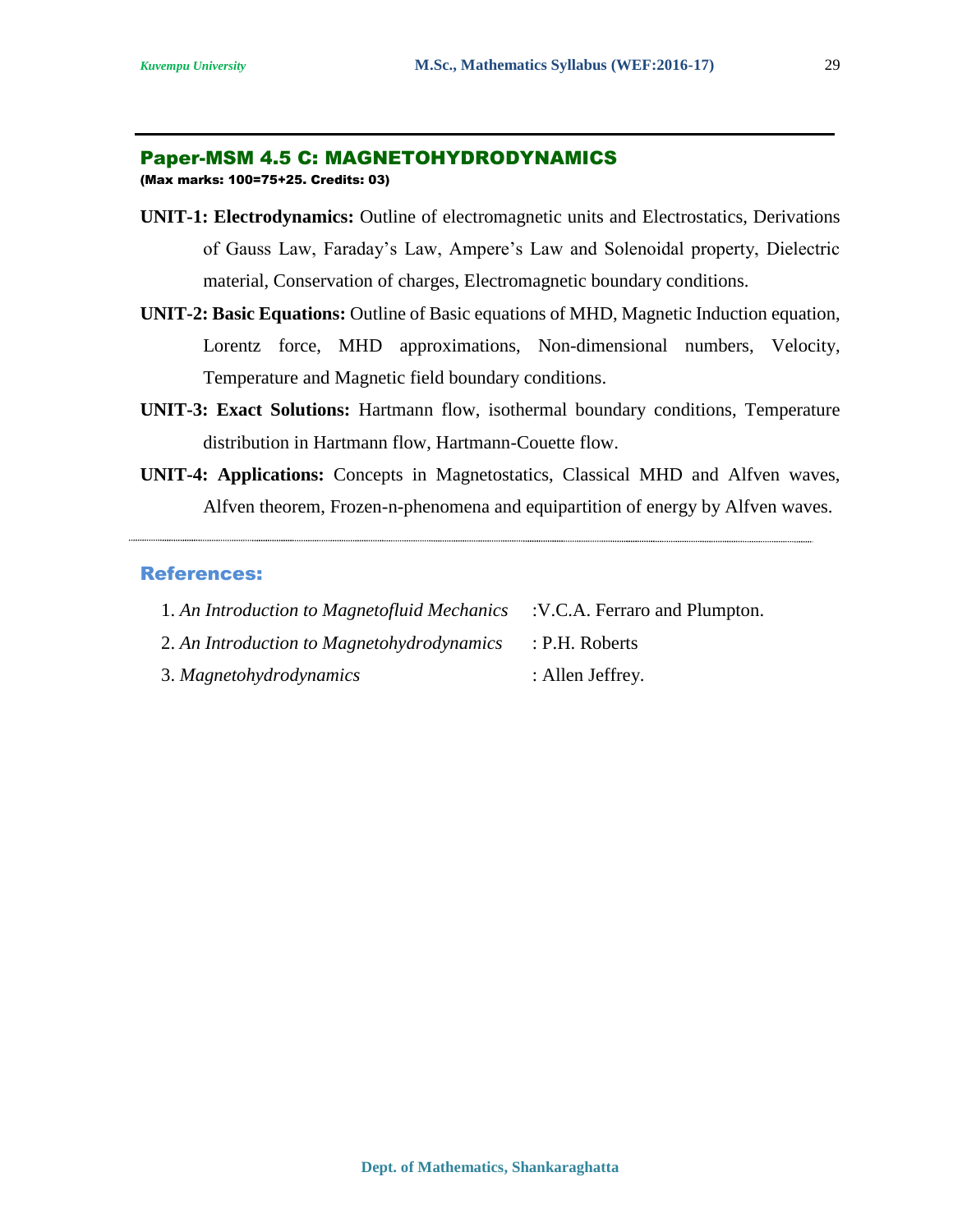#### Paper-MSM 4.5 C: MAGNETOHYDRODYNAMICS

(Max marks: 100=75+25. Credits: 03)

- **UNIT-1: Electrodynamics:** Outline of electromagnetic units and Electrostatics, Derivations of Gauss Law, Faraday's Law, Ampere's Law and Solenoidal property, Dielectric material, Conservation of charges, Electromagnetic boundary conditions.
- **UNIT-2: Basic Equations:** Outline of Basic equations of MHD, Magnetic Induction equation, Lorentz force, MHD approximations, Non-dimensional numbers, Velocity, Temperature and Magnetic field boundary conditions.
- **UNIT-3: Exact Solutions:** Hartmann flow, isothermal boundary conditions, Temperature distribution in Hartmann flow, Hartmann-Couette flow.
- **UNIT-4: Applications:** Concepts in Magnetostatics, Classical MHD and Alfven waves, Alfven theorem, Frozen-n-phenomena and equipartition of energy by Alfven waves.

| 1. An Introduction to Magnetofluid Mechanics : V.C.A. Ferraro and Plumpton. |                  |
|-----------------------------------------------------------------------------|------------------|
| 2. An Introduction to Magnetohydrodynamics                                  | : P.H. Roberts   |
| 3. Magnetohydrodynamics                                                     | : Allen Jeffrey. |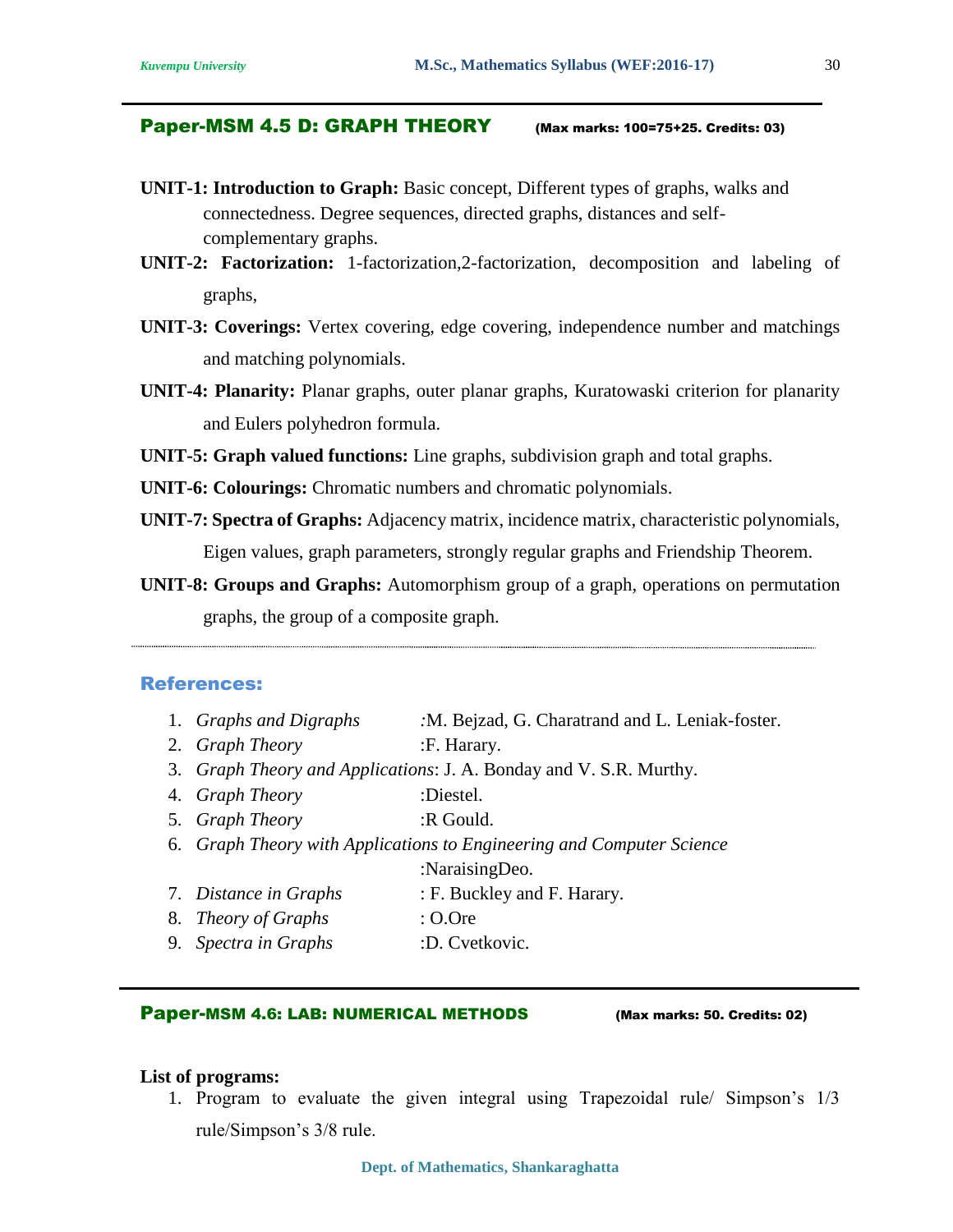#### Paper-MSM 4.5 D: GRAPH THEORY (Max marks: 100=75+25. Credits: 03)

- **UNIT-1: Introduction to Graph:** Basic concept, Different types of graphs, walks and connectedness. Degree sequences, directed graphs, distances and selfcomplementary graphs.
- **UNIT-2: Factorization:** 1-factorization,2-factorization, decomposition and labeling of graphs,
- **UNIT-3: Coverings:** Vertex covering, edge covering, independence number and matchings and matching polynomials.
- **UNIT-4: Planarity:** Planar graphs, outer planar graphs, Kuratowaski criterion for planarity and Eulers polyhedron formula.
- **UNIT-5: Graph valued functions:** Line graphs, subdivision graph and total graphs.
- **UNIT-6: Colourings:** Chromatic numbers and chromatic polynomials.
- **UNIT-7: Spectra of Graphs:** Adjacency matrix, incidence matrix, characteristic polynomials, Eigen values, graph parameters, strongly regular graphs and Friendship Theorem.
- **UNIT-8: Groups and Graphs:** Automorphism group of a graph, operations on permutation graphs, the group of a composite graph.

#### References:

- 1. *Graphs and Digraphs :*M. Bejzad, G. Charatrand and L. Leniak-foster.
- 2. *Graph Theory* :F. Harary.
- 3. *Graph Theory and Applications*: J. A. Bonday and V. S.R. Murthy.
- 4. *Graph Theory* :Diestel.
- 5. *Graph Theory* :R Gould.
- 6. *Graph Theory with Applications to Engineering and Computer Science*

:NaraisingDeo.

- 7. *Distance in Graphs* : F. Buckley and F. Harary.
- 8. *Theory of Graphs* : O.Ore
- 9. *Spectra in Graphs* :D. Cvetkovic.

#### Paper-MSM 4.6: LAB: NUMERICAL METHODS (Max marks: 50. Credits: 02)

#### **List of programs:**

1. Program to evaluate the given integral using Trapezoidal rule/ Simpson's 1/3 rule/Simpson's 3/8 rule.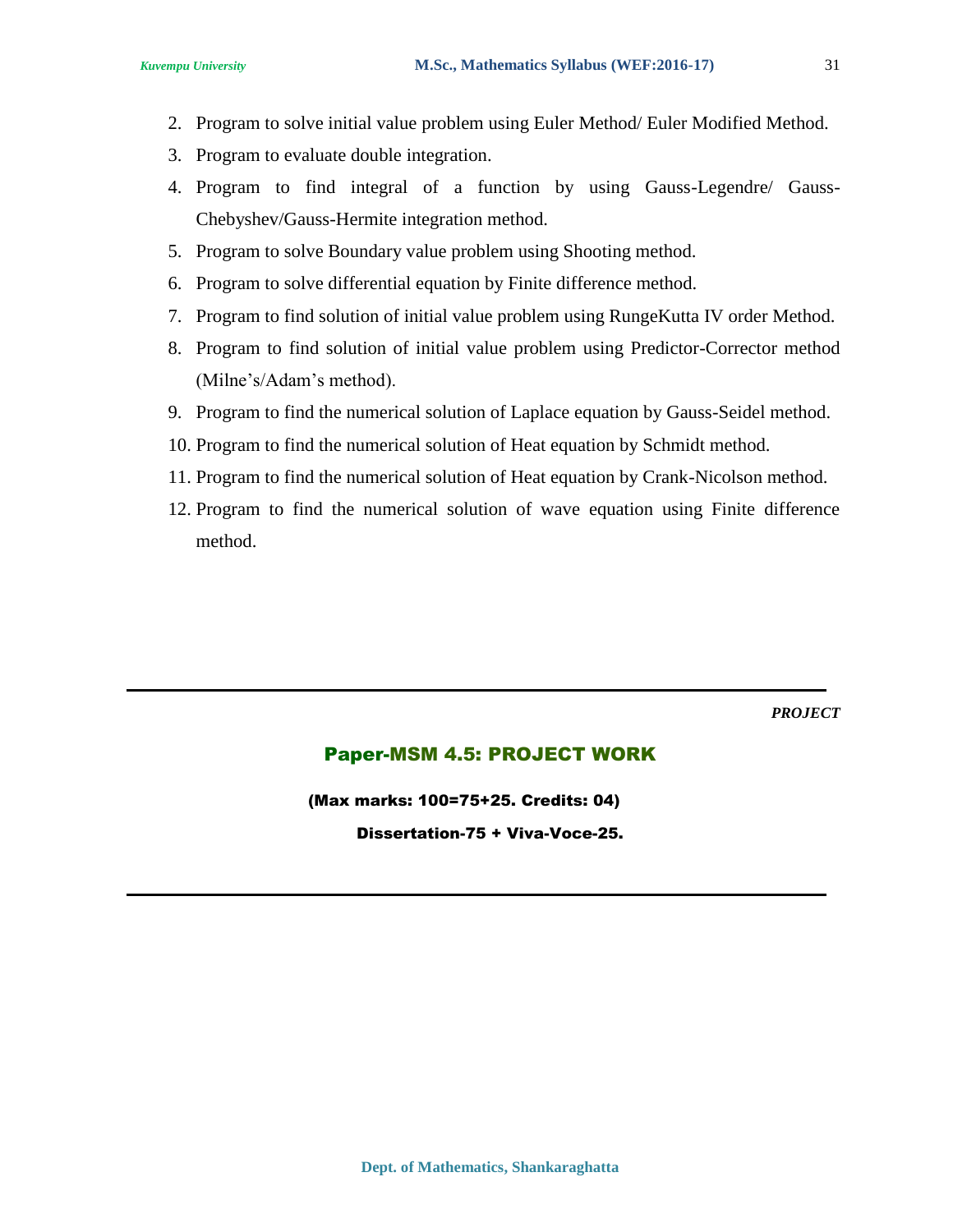- 2. Program to solve initial value problem using Euler Method/ Euler Modified Method.
- 3. Program to evaluate double integration.
- 4. Program to find integral of a function by using Gauss-Legendre/ Gauss-Chebyshev/Gauss-Hermite integration method.
- 5. Program to solve Boundary value problem using Shooting method.
- 6. Program to solve differential equation by Finite difference method.
- 7. Program to find solution of initial value problem using RungeKutta IV order Method.
- 8. Program to find solution of initial value problem using Predictor-Corrector method (Milne's/Adam's method).
- 9. Program to find the numerical solution of Laplace equation by Gauss-Seidel method.
- 10. Program to find the numerical solution of Heat equation by Schmidt method.
- 11. Program to find the numerical solution of Heat equation by Crank-Nicolson method.
- 12. Program to find the numerical solution of wave equation using Finite difference method.

*PROJECT*

#### Paper-MSM 4.5: PROJECT WORK

(Max marks: 100=75+25. Credits: 04) Dissertation-75 + Viva-Voce-25.